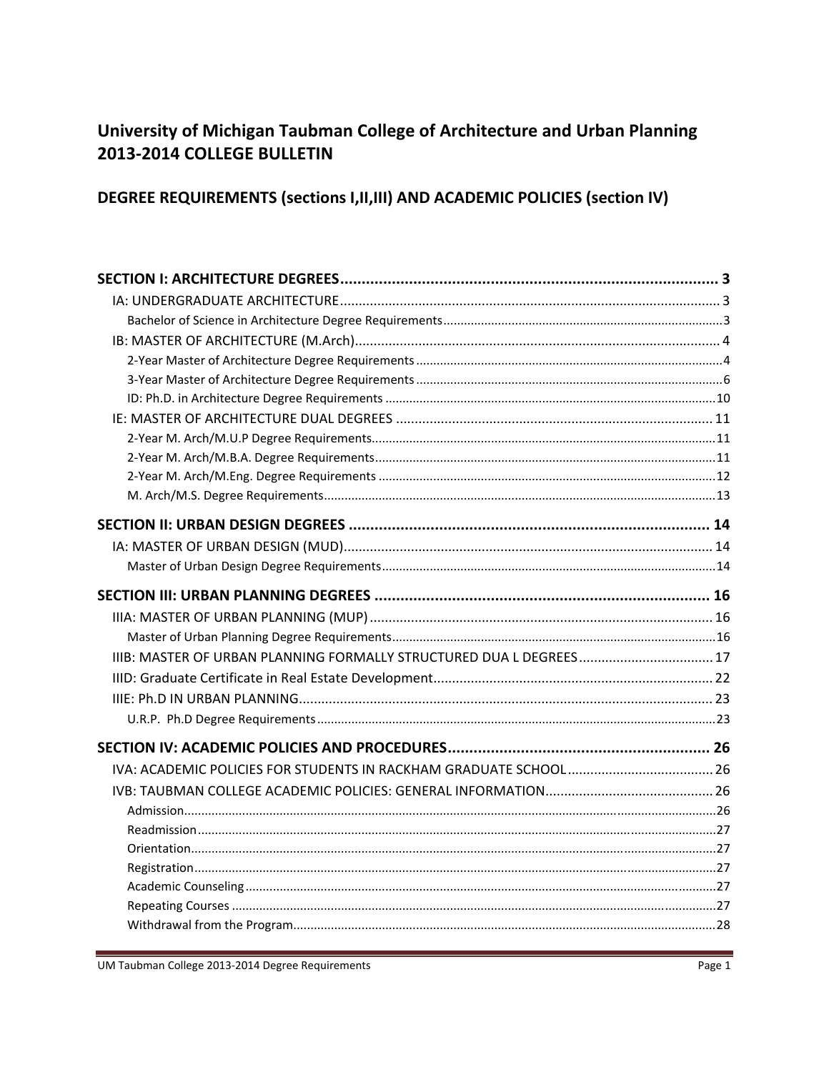# University of Michigan Taubman College of Architecture and Urban Planning 2013-2014 COLLEGE BULLETIN

# DEGREE REQUIREMENTS (sections I, II, III) AND ACADEMIC POLICIES (section IV)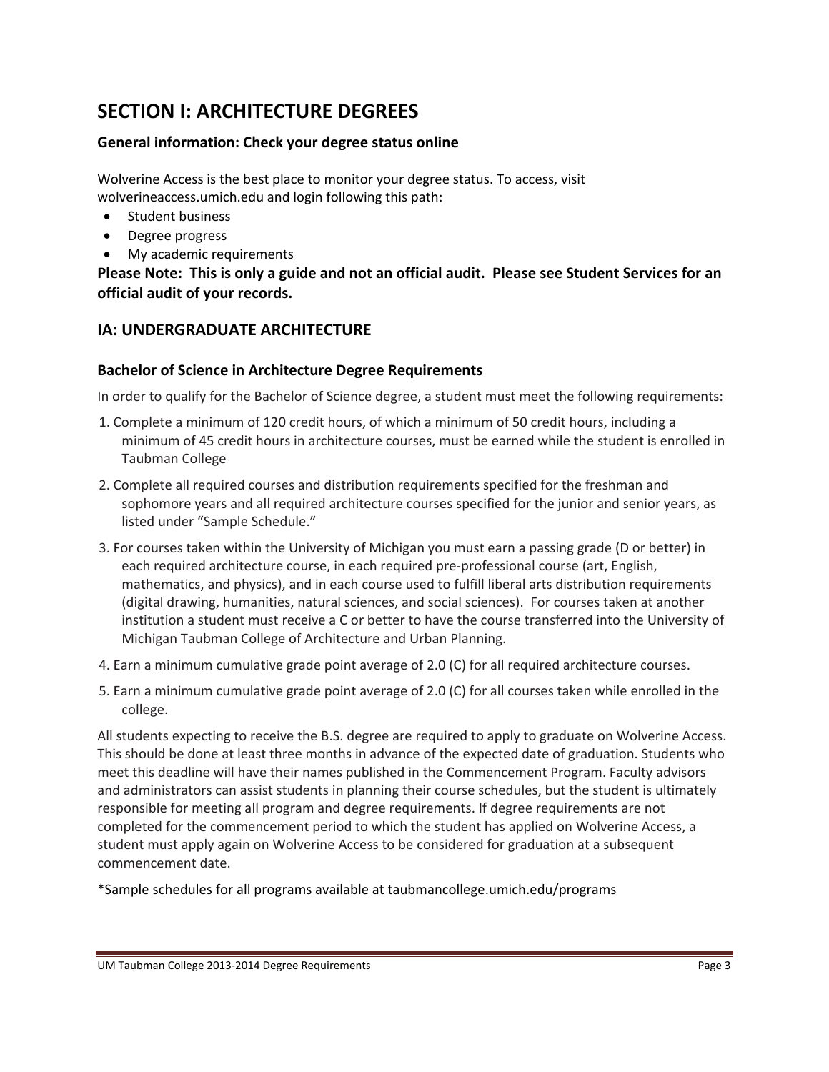# **SECTION I: ARCHITECTURE DEGREES**

## **General information: Check your degree status online**

Wolverine Access is the best place to monitor your degree status. To access, visit wolverineaccess.umich.edu and login following this path:

- Student business
- Degree progress
- My academic requirements

Please Note: This is only a guide and not an official audit. Please see Student Services for an **official audit of your records.**

# **IA: UNDERGRADUATE ARCHITECTURE**

#### **Bachelor of Science in Architecture Degree Requirements**

In order to qualify for the Bachelor of Science degree, a student must meet the following requirements:

- 1. Complete a minimum of 120 credit hours, of which a minimum of 50 credit hours, including a minimum of 45 credit hours in architecture courses, must be earned while the student is enrolled in Taubman College
- 2. Complete all required courses and distribution requirements specified for the freshman and sophomore years and all required architecture courses specified for the junior and senior years, as listed under "Sample Schedule."
- 3. For courses taken within the University of Michigan you must earn a passing grade (D or better) in each required architecture course, in each required pre‐professional course (art, English, mathematics, and physics), and in each course used to fulfill liberal arts distribution requirements (digital drawing, humanities, natural sciences, and social sciences). For courses taken at another institution a student must receive a C or better to have the course transferred into the University of Michigan Taubman College of Architecture and Urban Planning.
- 4. Earn a minimum cumulative grade point average of 2.0 (C) for all required architecture courses.
- 5. Earn a minimum cumulative grade point average of 2.0 (C) for all courses taken while enrolled in the college.

All students expecting to receive the B.S. degree are required to apply to graduate on Wolverine Access. This should be done at least three months in advance of the expected date of graduation. Students who meet this deadline will have their names published in the Commencement Program. Faculty advisors and administrators can assist students in planning their course schedules, but the student is ultimately responsible for meeting all program and degree requirements. If degree requirements are not completed for the commencement period to which the student has applied on Wolverine Access, a student must apply again on Wolverine Access to be considered for graduation at a subsequent commencement date.

\*Sample schedules for all programs available at taubmancollege.umich.edu/programs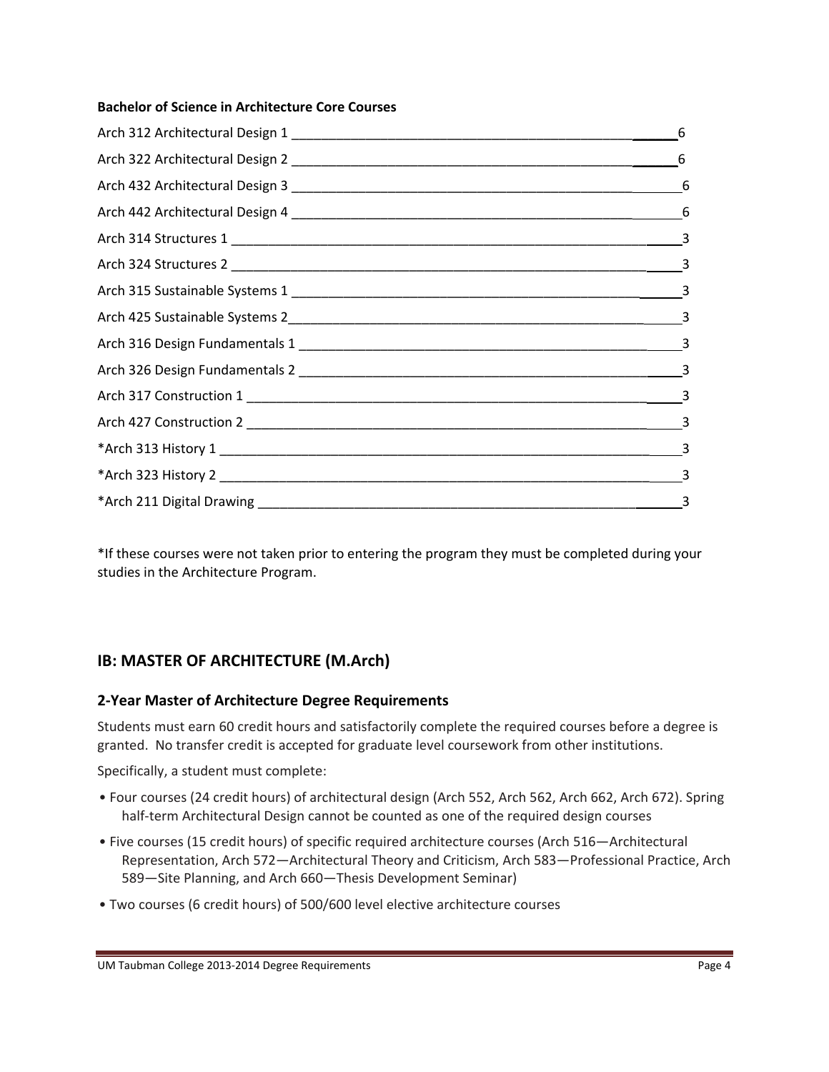#### **Bachelor of Science in Architecture Core Courses**

| 6             |
|---------------|
|               |
|               |
|               |
|               |
|               |
|               |
|               |
|               |
|               |
|               |
|               |
|               |
| $\sim$ 3      |
| $\frac{3}{2}$ |

\*If these courses were not taken prior to entering the program they must be completed during your studies in the Architecture Program.

# **IB: MASTER OF ARCHITECTURE (M.Arch)**

### **2‐Year Master of Architecture Degree Requirements**

Students must earn 60 credit hours and satisfactorily complete the required courses before a degree is granted. No transfer credit is accepted for graduate level coursework from other institutions.

Specifically, a student must complete:

- Four courses (24 credit hours) of architectural design (Arch 552, Arch 562, Arch 662, Arch 672). Spring half-term Architectural Design cannot be counted as one of the required design courses
- Five courses (15 credit hours) of specific required architecture courses (Arch 516—Architectural Representation, Arch 572—Architectural Theory and Criticism, Arch 583—Professional Practice, Arch 589—Site Planning, and Arch 660—Thesis Development Seminar)
- Two courses (6 credit hours) of 500/600 level elective architecture courses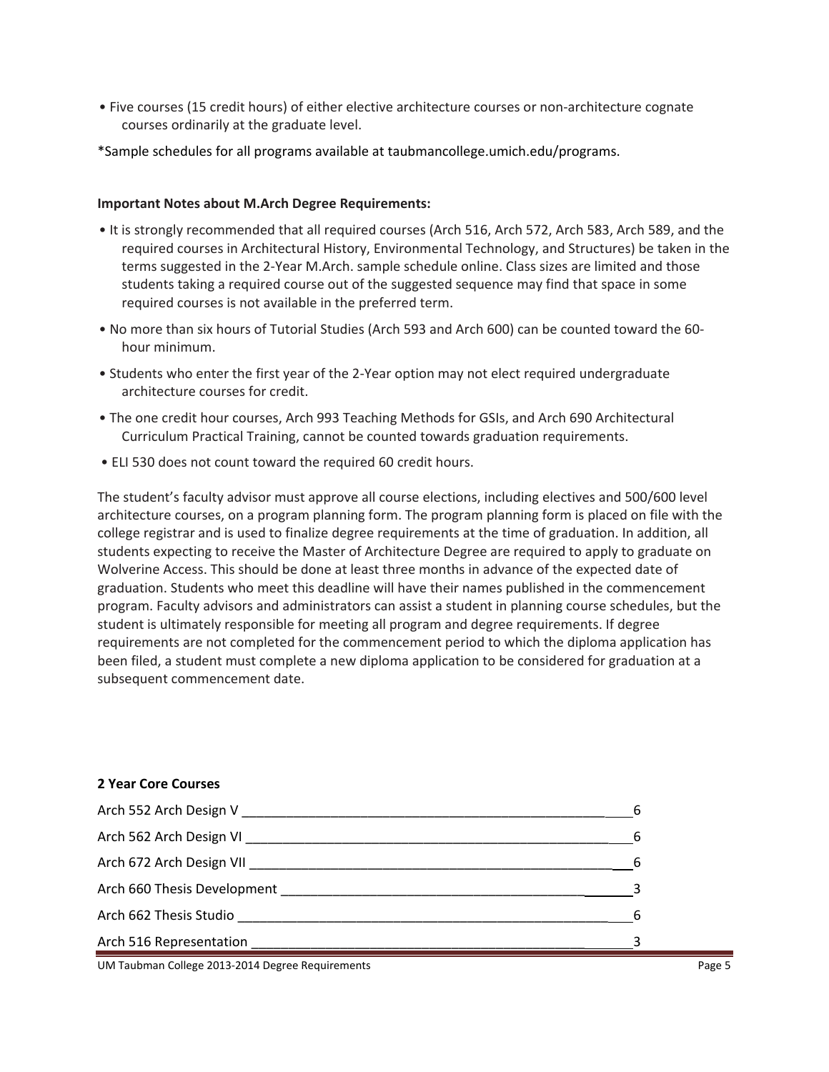- Five courses (15 credit hours) of either elective architecture courses or non‐architecture cognate courses ordinarily at the graduate level.
- \*Sample schedules for all programs available at taubmancollege.umich.edu/programs.

#### **Important Notes about M.Arch Degree Requirements:**

- It is strongly recommended that all required courses (Arch 516, Arch 572, Arch 583, Arch 589, and the required courses in Architectural History, Environmental Technology, and Structures) be taken in the terms suggested in the 2‐Year M.Arch. sample schedule online. Class sizes are limited and those students taking a required course out of the suggested sequence may find that space in some required courses is not available in the preferred term.
- No more than six hours of Tutorial Studies (Arch 593 and Arch 600) can be counted toward the 60‐ hour minimum.
- Students who enter the first year of the 2‐Year option may not elect required undergraduate architecture courses for credit.
- The one credit hour courses, Arch 993 Teaching Methods for GSIs, and Arch 690 Architectural Curriculum Practical Training, cannot be counted towards graduation requirements.
- ELI 530 does not count toward the required 60 credit hours.

The student's faculty advisor must approve all course elections, including electives and 500/600 level architecture courses, on a program planning form. The program planning form is placed on file with the college registrar and is used to finalize degree requirements at the time of graduation. In addition, all students expecting to receive the Master of Architecture Degree are required to apply to graduate on Wolverine Access. This should be done at least three months in advance of the expected date of graduation. Students who meet this deadline will have their names published in the commencement program. Faculty advisors and administrators can assist a student in planning course schedules, but the student is ultimately responsible for meeting all program and degree requirements. If degree requirements are not completed for the commencement period to which the diploma application has been filed, a student must complete a new diploma application to be considered for graduation at a subsequent commencement date.

#### **2 Year Core Courses**

| Arch 552 Arch Design V                                 | - 6 |
|--------------------------------------------------------|-----|
| Arch 562 Arch Design VI                                | - 6 |
| Arch 672 Arch Design VII                               | -6  |
| Arch 660 Thesis Development                            |     |
| Arch 662 Thesis Studio National Arch 662 Thesis Studio | - 6 |
| Arch 516 Representation                                |     |

UM Taubman College 2013-2014 Degree Requirements Page 5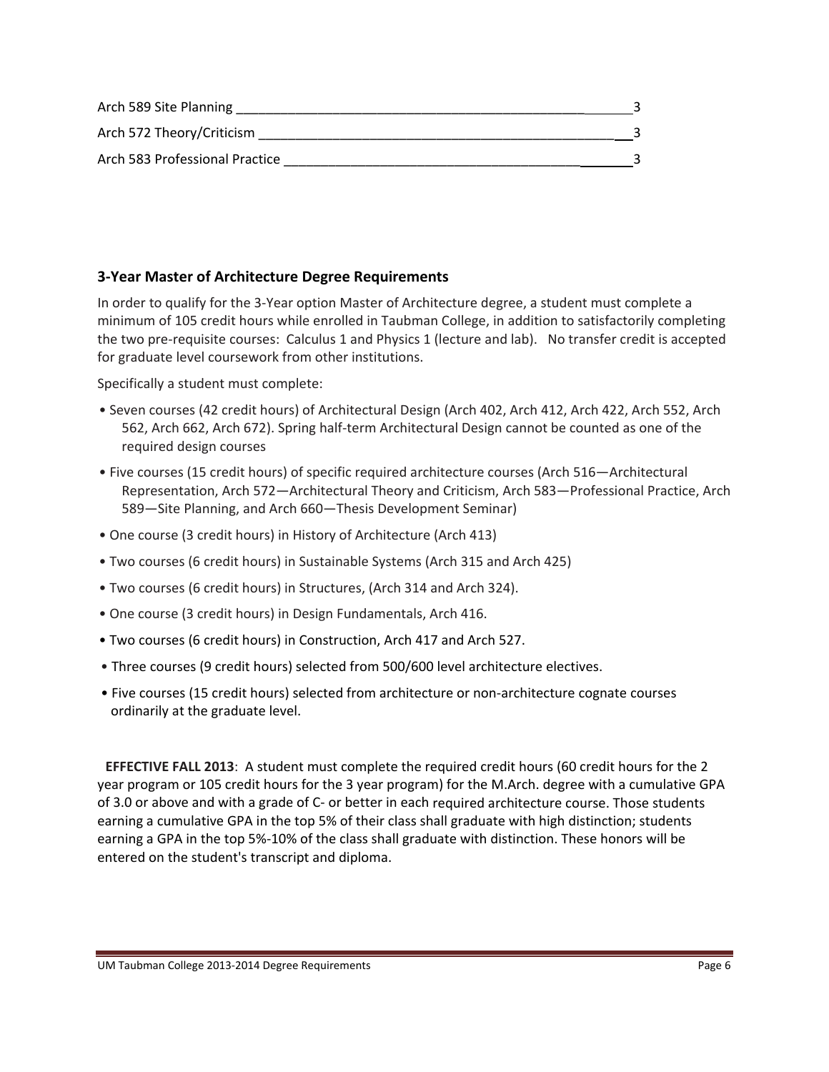| Arch 589 Site Planning         |  |  |
|--------------------------------|--|--|
| Arch 572 Theory/Criticism      |  |  |
| Arch 583 Professional Practice |  |  |

### **3‐Year Master of Architecture Degree Requirements**

In order to qualify for the 3‐Year option Master of Architecture degree, a student must complete a minimum of 105 credit hours while enrolled in Taubman College, in addition to satisfactorily completing the two pre‐requisite courses: Calculus 1 and Physics 1 (lecture and lab). No transfer credit is accepted for graduate level coursework from other institutions.

Specifically a student must complete:

- Seven courses (42 credit hours) of Architectural Design (Arch 402, Arch 412, Arch 422, Arch 552, Arch 562, Arch 662, Arch 672). Spring half‐term Architectural Design cannot be counted as one of the required design courses
- Five courses (15 credit hours) of specific required architecture courses (Arch 516—Architectural Representation, Arch 572—Architectural Theory and Criticism, Arch 583—Professional Practice, Arch 589—Site Planning, and Arch 660—Thesis Development Seminar)
- One course (3 credit hours) in History of Architecture (Arch 413)
- Two courses (6 credit hours) in Sustainable Systems (Arch 315 and Arch 425)
- Two courses (6 credit hours) in Structures, (Arch 314 and Arch 324).
- One course (3 credit hours) in Design Fundamentals, Arch 416.
- Two courses (6 credit hours) in Construction, Arch 417 and Arch 527.
- Three courses (9 credit hours) selected from 500/600 level architecture electives.
- Five courses (15 credit hours) selected from architecture or non‐architecture cognate courses ordinarily at the graduate level.

 **EFFECTIVE FALL 2013**: A student must complete the required credit hours (60 credit hours for the 2 year program or 105 credit hours for the 3 year program) for the M.Arch. degree with a cumulative GPA of 3.0 or above and with a grade of C‐ or better in each required architecture course. Those students earning a cumulative GPA in the top 5% of their class shall graduate with high distinction; students earning a GPA in the top 5%‐10% of the class shall graduate with distinction. These honors will be entered on the student's transcript and diploma.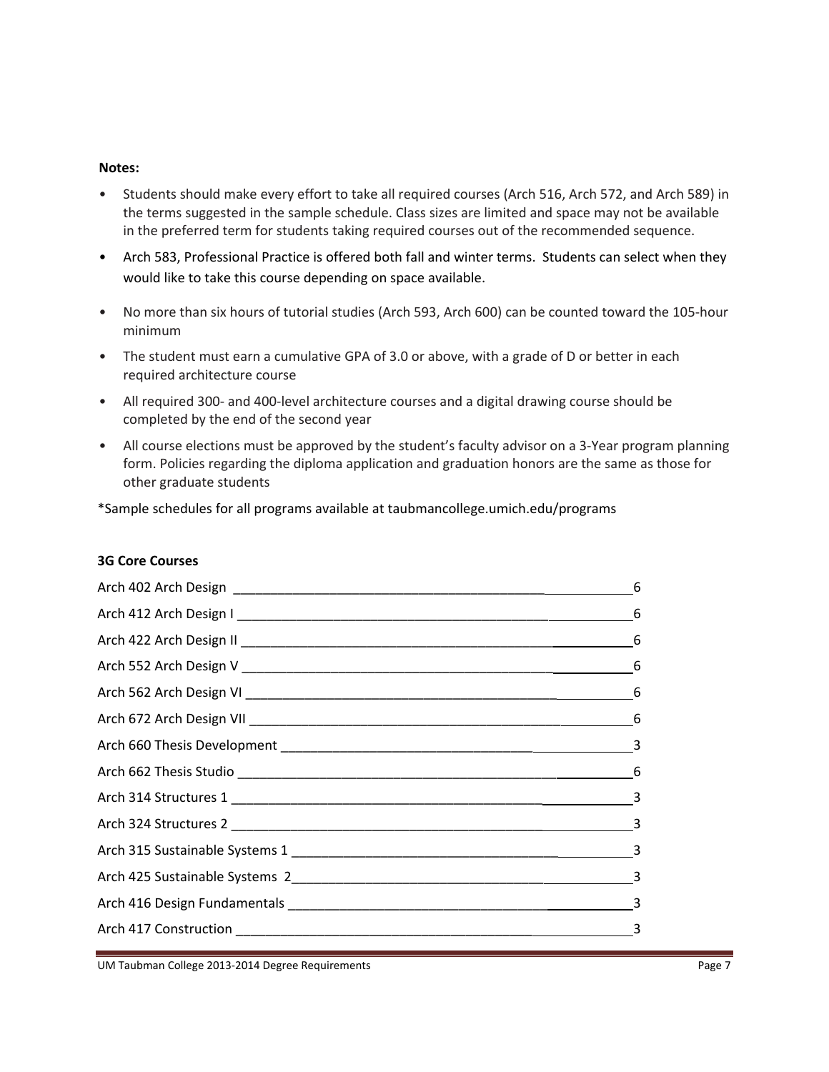#### **Notes:**

- Students should make every effort to take all required courses (Arch 516, Arch 572, and Arch 589) in the terms suggested in the sample schedule. Class sizes are limited and space may not be available in the preferred term for students taking required courses out of the recommended sequence.
- Arch 583, Professional Practice is offered both fall and winter terms. Students can select when they would like to take this course depending on space available.
- No more than six hours of tutorial studies (Arch 593, Arch 600) can be counted toward the 105‐hour minimum
- The student must earn a cumulative GPA of 3.0 or above, with a grade of D or better in each required architecture course
- All required 300‐ and 400‐level architecture courses and a digital drawing course should be completed by the end of the second year
- All course elections must be approved by the student's faculty advisor on a 3-Year program planning form. Policies regarding the diploma application and graduation honors are the same as those for other graduate students

\*Sample schedules for all programs available at taubmancollege.umich.edu/programs

#### **3G Core Courses**

UM Taubman College 2013-2014 Degree Requirements Page 7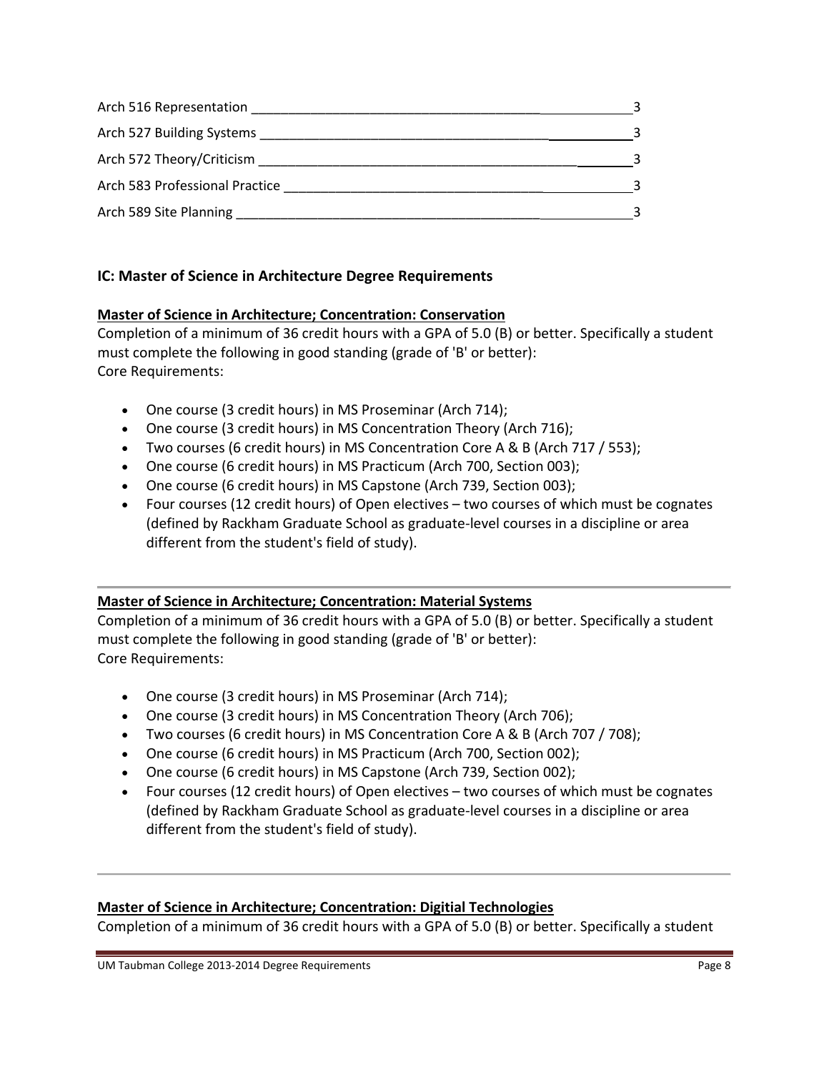| Arch 516 Representation        |  |
|--------------------------------|--|
| Arch 527 Building Systems      |  |
| Arch 572 Theory/Criticism      |  |
| Arch 583 Professional Practice |  |
| Arch 589 Site Planning         |  |

# **IC: Master of Science in Architecture Degree Requirements**

## **Master of Science in Architecture; Concentration: Conservation**

Completion of a minimum of 36 credit hours with a GPA of 5.0 (B) or better. Specifically a student must complete the following in good standing (grade of 'B' or better): Core Requirements:

- One course (3 credit hours) in MS Proseminar (Arch 714);
- One course (3 credit hours) in MS Concentration Theory (Arch 716);
- Two courses (6 credit hours) in MS Concentration Core A & B (Arch 717 / 553);
- One course (6 credit hours) in MS Practicum (Arch 700, Section 003);
- One course (6 credit hours) in MS Capstone (Arch 739, Section 003);
- Four courses (12 credit hours) of Open electives two courses of which must be cognates (defined by Rackham Graduate School as graduate‐level courses in a discipline or area different from the student's field of study).

# **Master of Science in Architecture; Concentration: Material Systems**

Completion of a minimum of 36 credit hours with a GPA of 5.0 (B) or better. Specifically a student must complete the following in good standing (grade of 'B' or better): Core Requirements:

- One course (3 credit hours) in MS Proseminar (Arch 714);
- One course (3 credit hours) in MS Concentration Theory (Arch 706);
- Two courses (6 credit hours) in MS Concentration Core A & B (Arch 707 / 708);
- One course (6 credit hours) in MS Practicum (Arch 700, Section 002);
- One course (6 credit hours) in MS Capstone (Arch 739, Section 002);
- Four courses (12 credit hours) of Open electives two courses of which must be cognates (defined by Rackham Graduate School as graduate‐level courses in a discipline or area different from the student's field of study).

# **Master of Science in Architecture; Concentration: Digitial Technologies**

Completion of a minimum of 36 credit hours with a GPA of 5.0 (B) or better. Specifically a student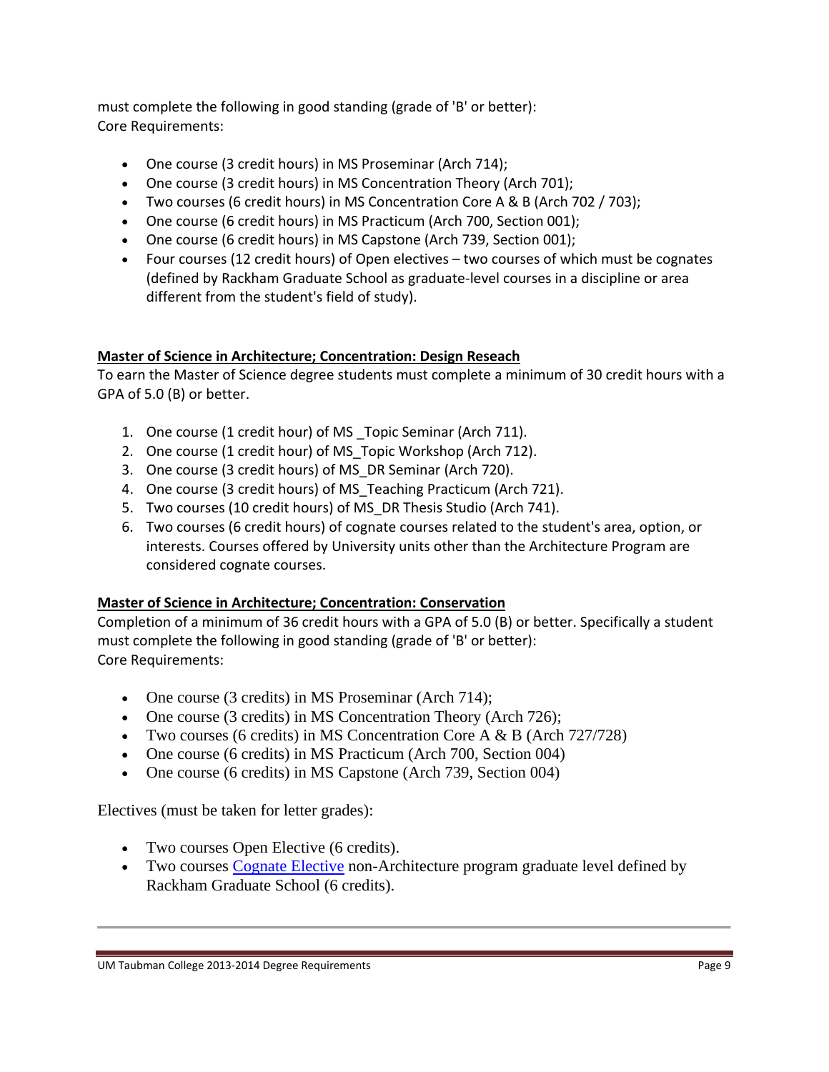must complete the following in good standing (grade of 'B' or better): Core Requirements:

- One course (3 credit hours) in MS Proseminar (Arch 714);
- One course (3 credit hours) in MS Concentration Theory (Arch 701);
- Two courses (6 credit hours) in MS Concentration Core A & B (Arch 702 / 703);
- One course (6 credit hours) in MS Practicum (Arch 700, Section 001);
- One course (6 credit hours) in MS Capstone (Arch 739, Section 001);
- Four courses (12 credit hours) of Open electives two courses of which must be cognates (defined by Rackham Graduate School as graduate‐level courses in a discipline or area different from the student's field of study).

# **Master of Science in Architecture; Concentration: Design Reseach**

To earn the Master of Science degree students must complete a minimum of 30 credit hours with a GPA of 5.0 (B) or better.

- 1. One course (1 credit hour) of MS \_Topic Seminar (Arch 711).
- 2. One course (1 credit hour) of MS\_Topic Workshop (Arch 712).
- 3. One course (3 credit hours) of MS\_DR Seminar (Arch 720).
- 4. One course (3 credit hours) of MS\_Teaching Practicum (Arch 721).
- 5. Two courses (10 credit hours) of MS\_DR Thesis Studio (Arch 741).
- 6. Two courses (6 credit hours) of cognate courses related to the student's area, option, or interests. Courses offered by University units other than the Architecture Program are considered cognate courses.

# **Master of Science in Architecture; Concentration: Conservation**

Completion of a minimum of 36 credit hours with a GPA of 5.0 (B) or better. Specifically a student must complete the following in good standing (grade of 'B' or better): Core Requirements:

- One course (3 credits) in MS Proseminar (Arch 714);
- One course (3 credits) in MS Concentration Theory (Arch 726);
- Two courses (6 credits) in MS Concentration Core A & B (Arch 727/728)
- One course (6 credits) in MS Practicum (Arch 700, Section 004)
- One course (6 credits) in MS Capstone (Arch 739, Section 004)

Electives (must be taken for letter grades):

- Two courses Open Elective (6 credits).
- Two courses Cognate Elective non-Architecture program graduate level defined by Rackham Graduate School (6 credits).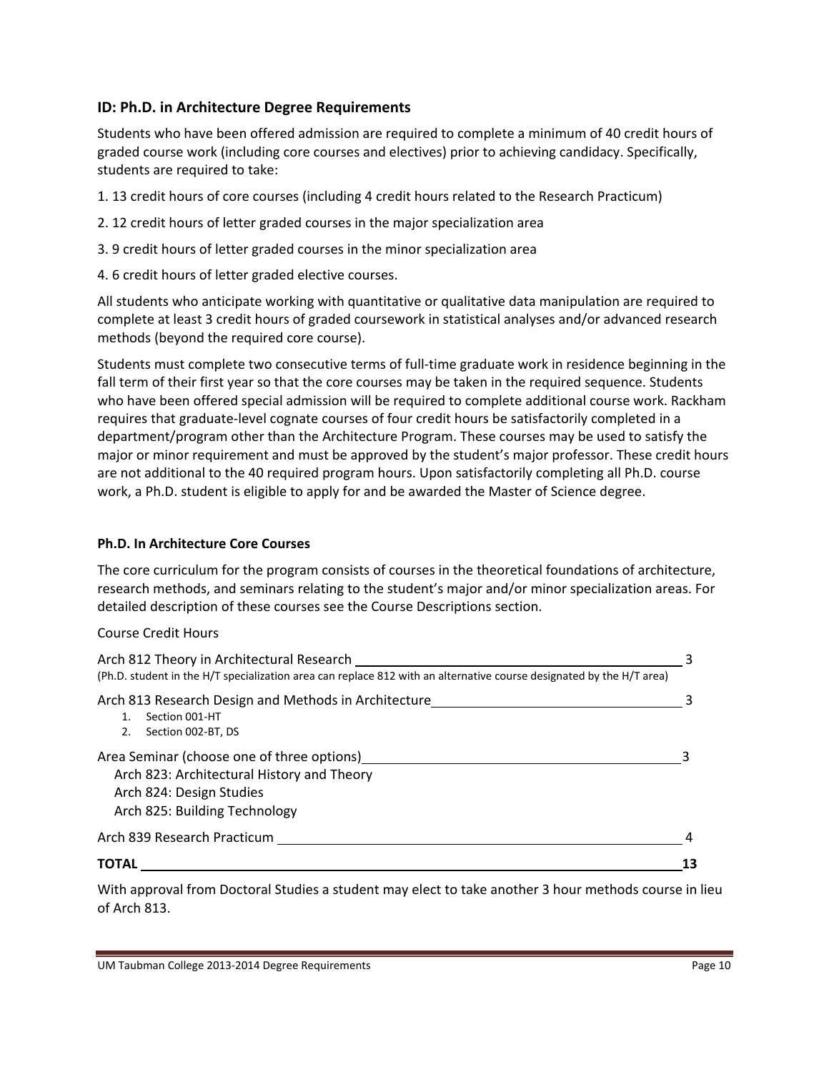## **ID: Ph.D. in Architecture Degree Requirements**

Students who have been offered admission are required to complete a minimum of 40 credit hours of graded course work (including core courses and electives) prior to achieving candidacy. Specifically, students are required to take:

- 1. 13 credit hours of core courses (including 4 credit hours related to the Research Practicum)
- 2. 12 credit hours of letter graded courses in the major specialization area
- 3. 9 credit hours of letter graded courses in the minor specialization area
- 4. 6 credit hours of letter graded elective courses.

All students who anticipate working with quantitative or qualitative data manipulation are required to complete at least 3 credit hours of graded coursework in statistical analyses and/or advanced research methods (beyond the required core course).

Students must complete two consecutive terms of full‐time graduate work in residence beginning in the fall term of their first year so that the core courses may be taken in the required sequence. Students who have been offered special admission will be required to complete additional course work. Rackham requires that graduate‐level cognate courses of four credit hours be satisfactorily completed in a department/program other than the Architecture Program. These courses may be used to satisfy the major or minor requirement and must be approved by the student's major professor. These credit hours are not additional to the 40 required program hours. Upon satisfactorily completing all Ph.D. course work, a Ph.D. student is eligible to apply for and be awarded the Master of Science degree.

#### **Ph.D. In Architecture Core Courses**

The core curriculum for the program consists of courses in the theoretical foundations of architecture, research methods, and seminars relating to the student's major and/or minor specialization areas. For detailed description of these courses see the Course Descriptions section.

#### Course Credit Hours

| Arch 812 Theory in Architectural Research<br>(Ph.D. student in the H/T specialization area can replace 812 with an alternative course designated by the H/T area) |  |
|-------------------------------------------------------------------------------------------------------------------------------------------------------------------|--|
| Arch 813 Research Design and Methods in Architecture<br>Section 001-HT<br>Section 002-BT, DS<br>2.                                                                |  |
| Area Seminar (choose one of three options)<br>Arch 823: Architectural History and Theory<br>Arch 824: Design Studies<br>Arch 825: Building Technology             |  |
| Arch 839 Research Practicum                                                                                                                                       |  |
| <b>TOTAL</b>                                                                                                                                                      |  |

With approval from Doctoral Studies a student may elect to take another 3 hour methods course in lieu of Arch 813.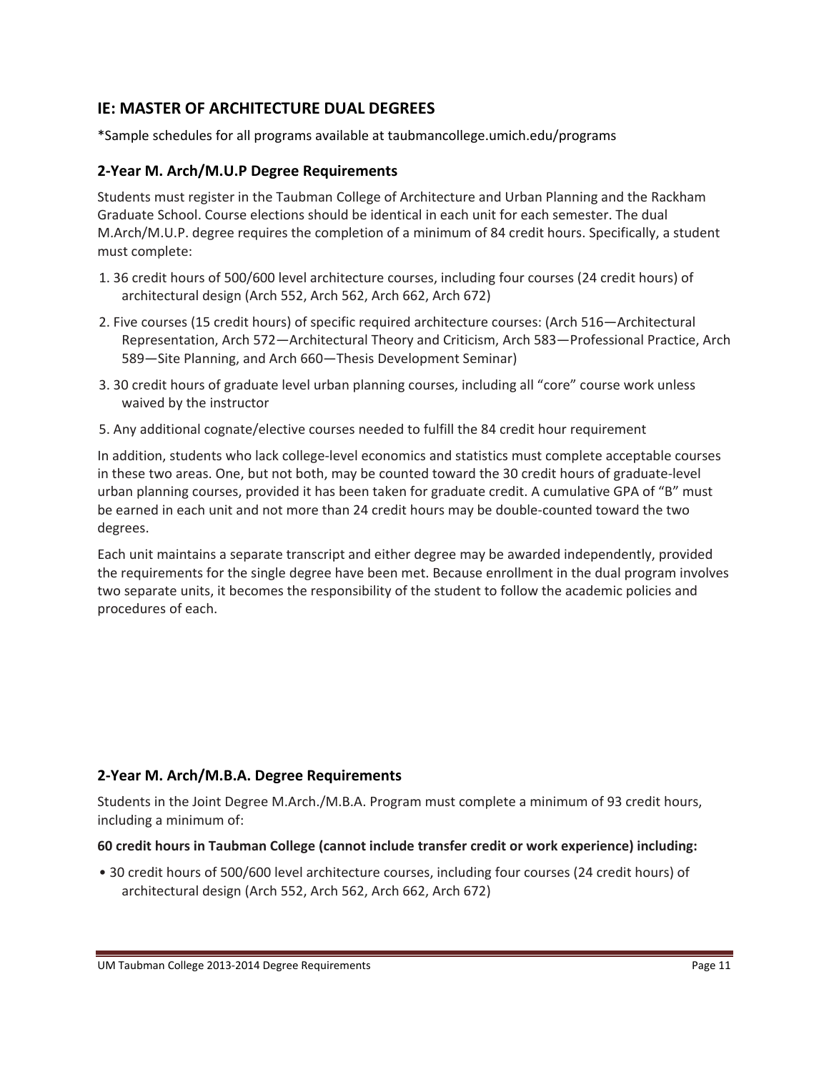# **IE: MASTER OF ARCHITECTURE DUAL DEGREES**

\*Sample schedules for all programs available at taubmancollege.umich.edu/programs

### **2‐Year M. Arch/M.U.P Degree Requirements**

Students must register in the Taubman College of Architecture and Urban Planning and the Rackham Graduate School. Course elections should be identical in each unit for each semester. The dual M.Arch/M.U.P. degree requires the completion of a minimum of 84 credit hours. Specifically, a student must complete:

- 1. 36 credit hours of 500/600 level architecture courses, including four courses (24 credit hours) of architectural design (Arch 552, Arch 562, Arch 662, Arch 672)
- 2. Five courses (15 credit hours) of specific required architecture courses: (Arch 516—Architectural Representation, Arch 572—Architectural Theory and Criticism, Arch 583—Professional Practice, Arch 589—Site Planning, and Arch 660—Thesis Development Seminar)
- 3. 30 credit hours of graduate level urban planning courses, including all "core" course work unless waived by the instructor
- 5. Any additional cognate/elective courses needed to fulfill the 84 credit hour requirement

In addition, students who lack college‐level economics and statistics must complete acceptable courses in these two areas. One, but not both, may be counted toward the 30 credit hours of graduate‐level urban planning courses, provided it has been taken for graduate credit. A cumulative GPA of "B" must be earned in each unit and not more than 24 credit hours may be double-counted toward the two degrees.

Each unit maintains a separate transcript and either degree may be awarded independently, provided the requirements for the single degree have been met. Because enrollment in the dual program involves two separate units, it becomes the responsibility of the student to follow the academic policies and procedures of each.

### **2‐Year M. Arch/M.B.A. Degree Requirements**

Students in the Joint Degree M.Arch./M.B.A. Program must complete a minimum of 93 credit hours, including a minimum of:

### **60 credit hours in Taubman College (cannot include transfer credit or work experience) including:**

• 30 credit hours of 500/600 level architecture courses, including four courses (24 credit hours) of architectural design (Arch 552, Arch 562, Arch 662, Arch 672)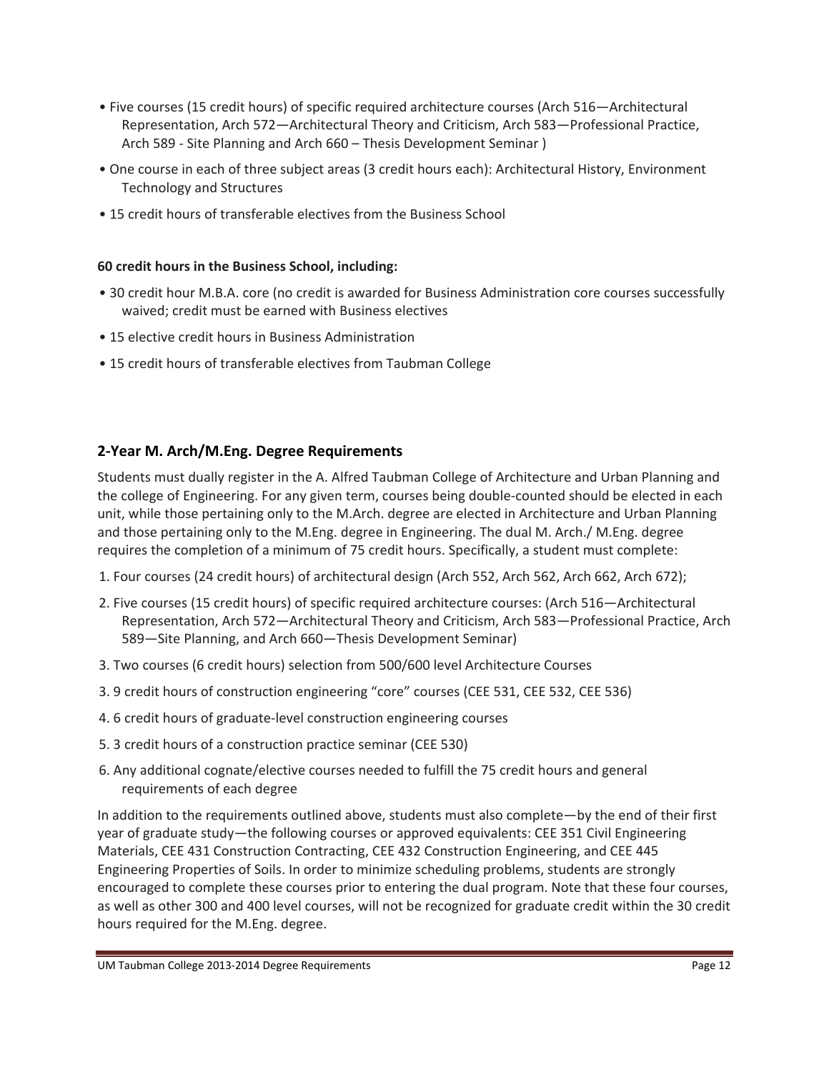- Five courses (15 credit hours) of specific required architecture courses (Arch 516—Architectural Representation, Arch 572—Architectural Theory and Criticism, Arch 583—Professional Practice, Arch 589 ‐ Site Planning and Arch 660 – Thesis Development Seminar )
- One course in each of three subject areas (3 credit hours each): Architectural History, Environment Technology and Structures
- 15 credit hours of transferable electives from the Business School

### **60 credit hours in the Business School, including:**

- 30 credit hour M.B.A. core (no credit is awarded for Business Administration core courses successfully waived; credit must be earned with Business electives
- 15 elective credit hours in Business Administration
- 15 credit hours of transferable electives from Taubman College

## **2‐Year M. Arch/M.Eng. Degree Requirements**

Students must dually register in the A. Alfred Taubman College of Architecture and Urban Planning and the college of Engineering. For any given term, courses being double‐counted should be elected in each unit, while those pertaining only to the M.Arch. degree are elected in Architecture and Urban Planning and those pertaining only to the M.Eng. degree in Engineering. The dual M. Arch./ M.Eng. degree requires the completion of a minimum of 75 credit hours. Specifically, a student must complete:

- 1. Four courses (24 credit hours) of architectural design (Arch 552, Arch 562, Arch 662, Arch 672);
- 2. Five courses (15 credit hours) of specific required architecture courses: (Arch 516—Architectural Representation, Arch 572—Architectural Theory and Criticism, Arch 583—Professional Practice, Arch 589—Site Planning, and Arch 660—Thesis Development Seminar)
- 3. Two courses (6 credit hours) selection from 500/600 level Architecture Courses
- 3. 9 credit hours of construction engineering "core" courses (CEE 531, CEE 532, CEE 536)
- 4. 6 credit hours of graduate‐level construction engineering courses
- 5. 3 credit hours of a construction practice seminar (CEE 530)
- 6. Any additional cognate/elective courses needed to fulfill the 75 credit hours and general requirements of each degree

In addition to the requirements outlined above, students must also complete—by the end of their first year of graduate study—the following courses or approved equivalents: CEE 351 Civil Engineering Materials, CEE 431 Construction Contracting, CEE 432 Construction Engineering, and CEE 445 Engineering Properties of Soils. In order to minimize scheduling problems, students are strongly encouraged to complete these courses prior to entering the dual program. Note that these four courses, as well as other 300 and 400 level courses, will not be recognized for graduate credit within the 30 credit hours required for the M.Eng. degree.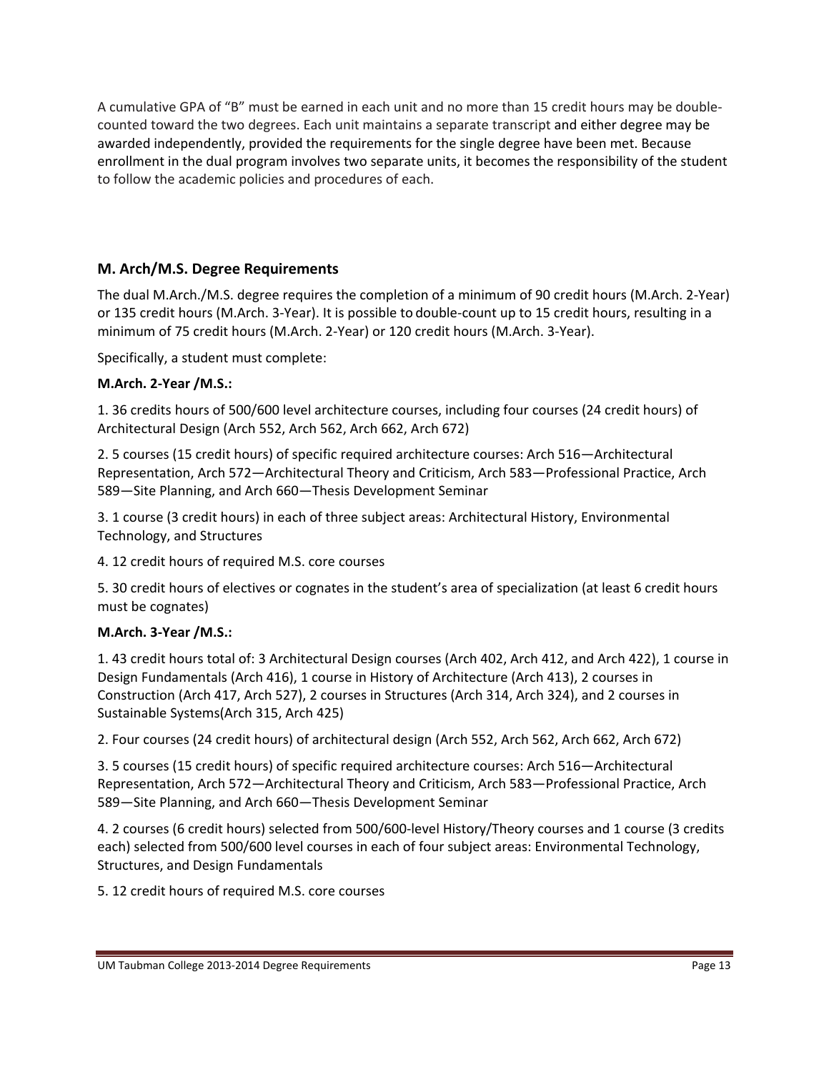A cumulative GPA of "B" must be earned in each unit and no more than 15 credit hours may be double‐ counted toward the two degrees. Each unit maintains a separate transcript and either degree may be awarded independently, provided the requirements for the single degree have been met. Because enrollment in the dual program involves two separate units, it becomes the responsibility of the student to follow the academic policies and procedures of each.

# **M. Arch/M.S. Degree Requirements**

The dual M.Arch./M.S. degree requires the completion of a minimum of 90 credit hours (M.Arch. 2‐Year) or 135 credit hours (M.Arch. 3‐Year). It is possible to double‐count up to 15 credit hours, resulting in a minimum of 75 credit hours (M.Arch. 2‐Year) or 120 credit hours (M.Arch. 3‐Year).

Specifically, a student must complete:

# **M.Arch. 2‐Year /M.S.:**

1. 36 credits hours of 500/600 level architecture courses, including four courses (24 credit hours) of Architectural Design (Arch 552, Arch 562, Arch 662, Arch 672)

2. 5 courses (15 credit hours) of specific required architecture courses: Arch 516—Architectural Representation, Arch 572—Architectural Theory and Criticism, Arch 583—Professional Practice, Arch 589—Site Planning, and Arch 660—Thesis Development Seminar

3. 1 course (3 credit hours) in each of three subject areas: Architectural History, Environmental Technology, and Structures

4. 12 credit hours of required M.S. core courses

5. 30 credit hours of electives or cognates in the student's area of specialization (at least 6 credit hours must be cognates)

# **M.Arch. 3‐Year /M.S.:**

1. 43 credit hours total of: 3 Architectural Design courses (Arch 402, Arch 412, and Arch 422), 1 course in Design Fundamentals (Arch 416), 1 course in History of Architecture (Arch 413), 2 courses in Construction (Arch 417, Arch 527), 2 courses in Structures (Arch 314, Arch 324), and 2 courses in Sustainable Systems(Arch 315, Arch 425)

2. Four courses (24 credit hours) of architectural design (Arch 552, Arch 562, Arch 662, Arch 672)

3. 5 courses (15 credit hours) of specific required architecture courses: Arch 516—Architectural Representation, Arch 572—Architectural Theory and Criticism, Arch 583—Professional Practice, Arch 589—Site Planning, and Arch 660—Thesis Development Seminar

4. 2 courses (6 credit hours) selected from 500/600‐level History/Theory courses and 1 course (3 credits each) selected from 500/600 level courses in each of four subject areas: Environmental Technology, Structures, and Design Fundamentals

5. 12 credit hours of required M.S. core courses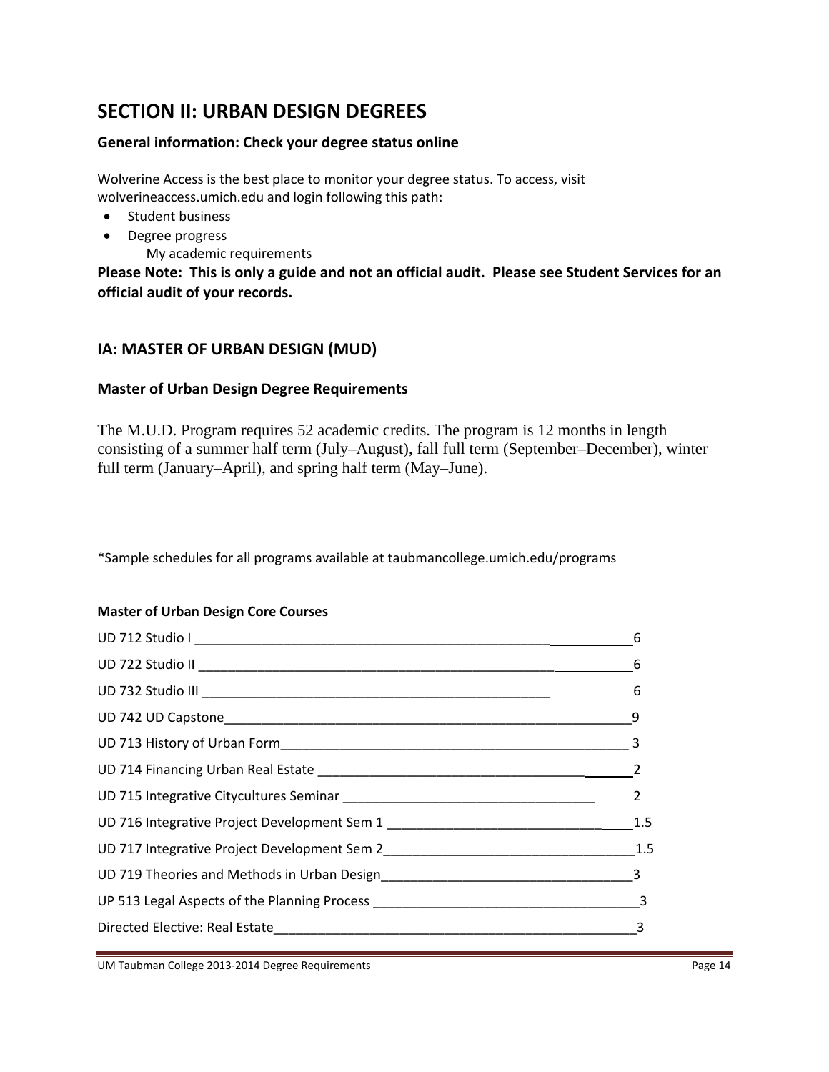# **SECTION II: URBAN DESIGN DEGREES**

## **General information: Check your degree status online**

Wolverine Access is the best place to monitor your degree status. To access, visit wolverineaccess.umich.edu and login following this path:

- Student business
- Degree progress

My academic requirements

Please Note: This is only a guide and not an official audit. Please see Student Services for an **official audit of your records.**

# **IA: MASTER OF URBAN DESIGN (MUD)**

## **Master of Urban Design Degree Requirements**

The M.U.D. Program requires 52 academic credits. The program is 12 months in length consisting of a summer half term (July–August), fall full term (September–December), winter full term (January–April), and spring half term (May–June).

\*Sample schedules for all programs available at taubmancollege.umich.edu/programs

### **Master of Urban Design Core Courses**

| 6   |
|-----|
|     |
|     |
|     |
|     |
|     |
|     |
| 1.5 |
|     |
|     |
|     |
|     |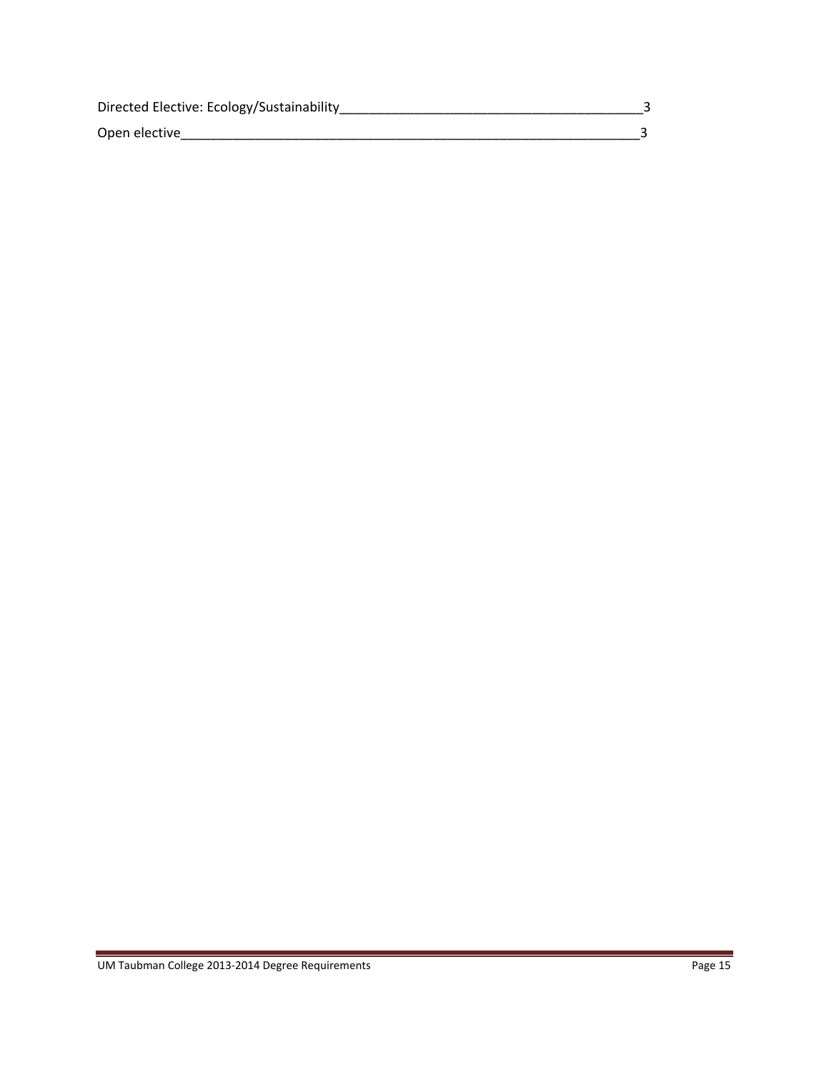| Directed Elective: Ecology/Sustainability |  |
|-------------------------------------------|--|
| Open elective                             |  |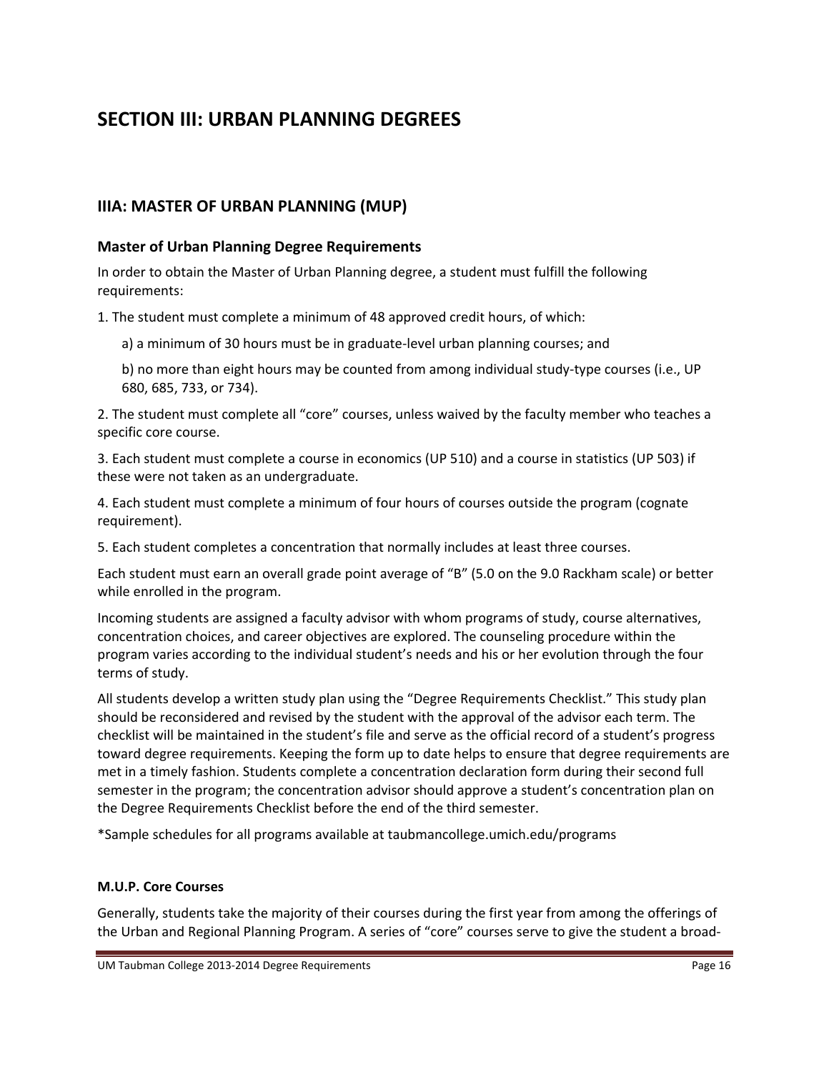# **SECTION III: URBAN PLANNING DEGREES**

# **IIIA: MASTER OF URBAN PLANNING (MUP)**

#### **Master of Urban Planning Degree Requirements**

In order to obtain the Master of Urban Planning degree, a student must fulfill the following requirements:

1. The student must complete a minimum of 48 approved credit hours, of which:

a) a minimum of 30 hours must be in graduate‐level urban planning courses; and

b) no more than eight hours may be counted from among individual study‐type courses (i.e., UP 680, 685, 733, or 734).

2. The student must complete all "core" courses, unless waived by the faculty member who teaches a specific core course.

3. Each student must complete a course in economics (UP 510) and a course in statistics (UP 503) if these were not taken as an undergraduate.

4. Each student must complete a minimum of four hours of courses outside the program (cognate requirement).

5. Each student completes a concentration that normally includes at least three courses.

Each student must earn an overall grade point average of "B" (5.0 on the 9.0 Rackham scale) or better while enrolled in the program.

Incoming students are assigned a faculty advisor with whom programs of study, course alternatives, concentration choices, and career objectives are explored. The counseling procedure within the program varies according to the individual student's needs and his or her evolution through the four terms of study.

All students develop a written study plan using the "Degree Requirements Checklist." This study plan should be reconsidered and revised by the student with the approval of the advisor each term. The checklist will be maintained in the student's file and serve as the official record of a student's progress toward degree requirements. Keeping the form up to date helps to ensure that degree requirements are met in a timely fashion. Students complete a concentration declaration form during their second full semester in the program; the concentration advisor should approve a student's concentration plan on the Degree Requirements Checklist before the end of the third semester.

\*Sample schedules for all programs available at taubmancollege.umich.edu/programs

#### **M.U.P. Core Courses**

Generally, students take the majority of their courses during the first year from among the offerings of the Urban and Regional Planning Program. A series of "core" courses serve to give the student a broad‐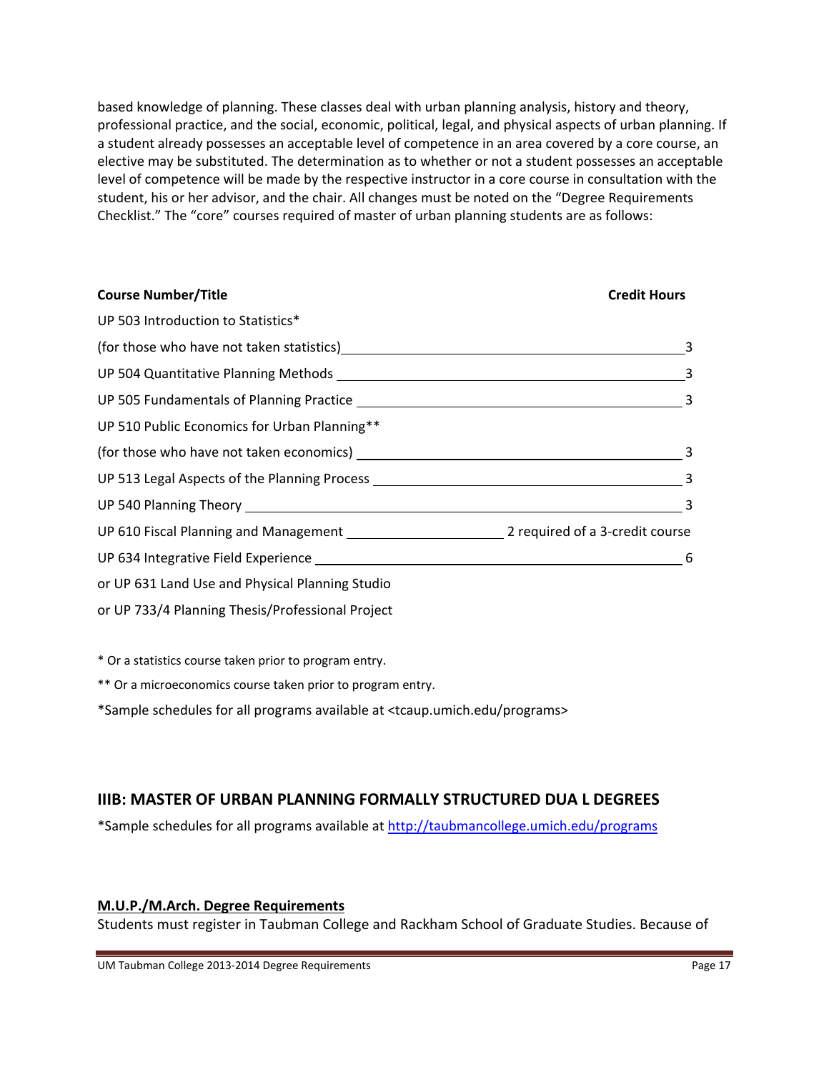based knowledge of planning. These classes deal with urban planning analysis, history and theory, professional practice, and the social, economic, political, legal, and physical aspects of urban planning. If a student already possesses an acceptable level of competence in an area covered by a core course, an elective may be substituted. The determination as to whether or not a student possesses an acceptable level of competence will be made by the respective instructor in a core course in consultation with the student, his or her advisor, and the chair. All changes must be noted on the "Degree Requirements Checklist." The "core" courses required of master of urban planning students are as follows:

| <b>Course Number/Title</b>                                                                                                                                                                                                     | <b>Credit Hours</b> |
|--------------------------------------------------------------------------------------------------------------------------------------------------------------------------------------------------------------------------------|---------------------|
| UP 503 Introduction to Statistics*                                                                                                                                                                                             |                     |
| (for those who have not taken statistics) example and the statistic statistics of the statistics of the statistics of the statistics of the statistics of the statistics of the statistics of the statistics of the statistics |                     |
|                                                                                                                                                                                                                                |                     |
|                                                                                                                                                                                                                                |                     |
| UP 510 Public Economics for Urban Planning**                                                                                                                                                                                   |                     |
|                                                                                                                                                                                                                                |                     |
|                                                                                                                                                                                                                                |                     |
|                                                                                                                                                                                                                                | 3                   |
| UP 610 Fiscal Planning and Management 2002 2 Pequired of a 3-credit course                                                                                                                                                     |                     |
| UP 634 Integrative Field Experience Manual Accords 2014 12:00 12:00 12:00 12:00 12:00 12:00 12:00 12:00 12:00                                                                                                                  | 6                   |
| or UP 631 Land Use and Physical Planning Studio                                                                                                                                                                                |                     |
| or UP 733/4 Planning Thesis/Professional Project                                                                                                                                                                               |                     |

\* Or a statistics course taken prior to program entry.

\*\* Or a microeconomics course taken prior to program entry.

\*Sample schedules for all programs available at <tcaup.umich.edu/programs>

# **IIIB: MASTER OF URBAN PLANNING FORMALLY STRUCTURED DUA L DEGREES**

\*Sample schedules for all programs available at http://taubmancollege.umich.edu/programs

#### **M.U.P./M.Arch. Degree Requirements**

Students must register in Taubman College and Rackham School of Graduate Studies. Because of

UM Taubman College 2013-2014 Degree Requirements Page 17 Page 17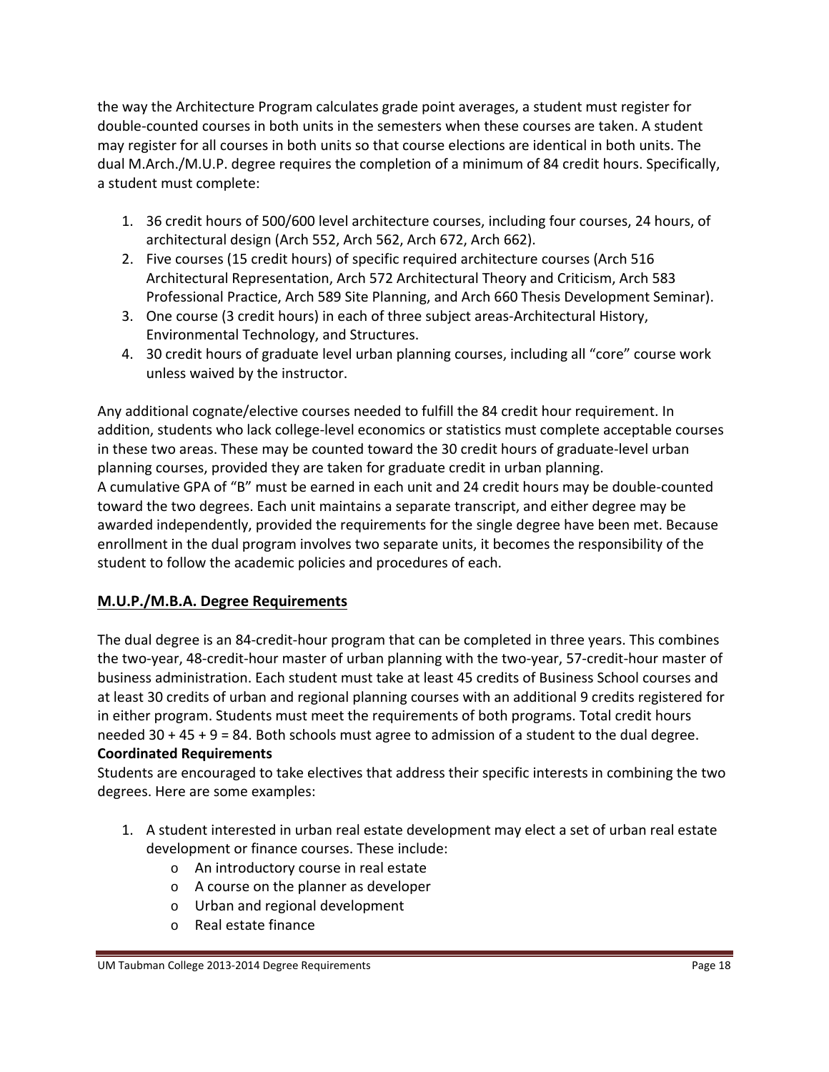the way the Architecture Program calculates grade point averages, a student must register for double‐counted courses in both units in the semesters when these courses are taken. A student may register for all courses in both units so that course elections are identical in both units. The dual M.Arch./M.U.P. degree requires the completion of a minimum of 84 credit hours. Specifically, a student must complete:

- 1. 36 credit hours of 500/600 level architecture courses, including four courses, 24 hours, of architectural design (Arch 552, Arch 562, Arch 672, Arch 662).
- 2. Five courses (15 credit hours) of specific required architecture courses (Arch 516 Architectural Representation, Arch 572 Architectural Theory and Criticism, Arch 583 Professional Practice, Arch 589 Site Planning, and Arch 660 Thesis Development Seminar).
- 3. One course (3 credit hours) in each of three subject areas‐Architectural History, Environmental Technology, and Structures.
- 4. 30 credit hours of graduate level urban planning courses, including all "core" course work unless waived by the instructor.

Any additional cognate/elective courses needed to fulfill the 84 credit hour requirement. In addition, students who lack college‐level economics or statistics must complete acceptable courses in these two areas. These may be counted toward the 30 credit hours of graduate‐level urban planning courses, provided they are taken for graduate credit in urban planning. A cumulative GPA of "B" must be earned in each unit and 24 credit hours may be double‐counted toward the two degrees. Each unit maintains a separate transcript, and either degree may be awarded independently, provided the requirements for the single degree have been met. Because enrollment in the dual program involves two separate units, it becomes the responsibility of the student to follow the academic policies and procedures of each.

# **M.U.P./M.B.A. Degree Requirements**

The dual degree is an 84‐credit‐hour program that can be completed in three years. This combines the two‐year, 48‐credit‐hour master of urban planning with the two‐year, 57‐credit‐hour master of business administration. Each student must take at least 45 credits of Business School courses and at least 30 credits of urban and regional planning courses with an additional 9 credits registered for in either program. Students must meet the requirements of both programs. Total credit hours needed 30 + 45 + 9 = 84. Both schools must agree to admission of a student to the dual degree. **Coordinated Requirements**

Students are encouraged to take electives that address their specific interests in combining the two degrees. Here are some examples:

- 1. A student interested in urban real estate development may elect a set of urban real estate development or finance courses. These include:
	- o An introductory course in real estate
	- o A course on the planner as developer
	- o Urban and regional development
	- o Real estate finance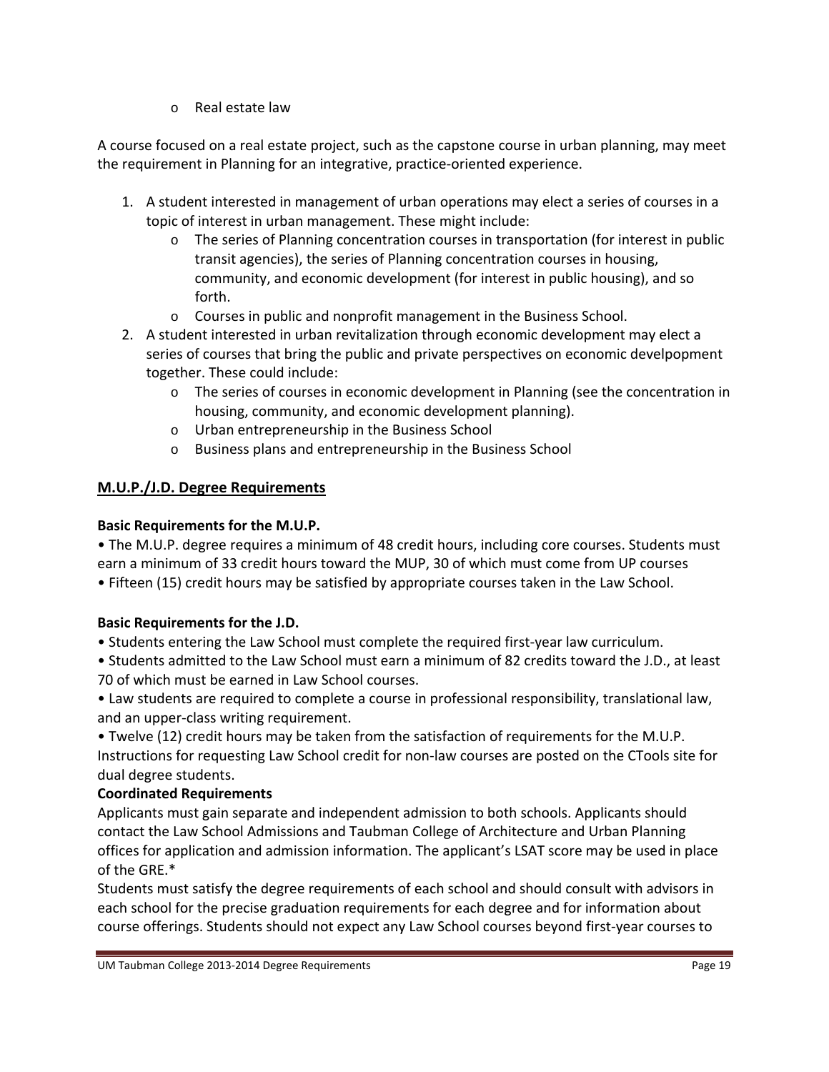o Real estate law

A course focused on a real estate project, such as the capstone course in urban planning, may meet the requirement in Planning for an integrative, practice‐oriented experience.

- 1. A student interested in management of urban operations may elect a series of courses in a topic of interest in urban management. These might include:
	- o The series of Planning concentration courses in transportation (for interest in public transit agencies), the series of Planning concentration courses in housing, community, and economic development (for interest in public housing), and so forth.
	- o Courses in public and nonprofit management in the Business School.
- 2. A student interested in urban revitalization through economic development may elect a series of courses that bring the public and private perspectives on economic develpopment together. These could include:
	- $\circ$  The series of courses in economic development in Planning (see the concentration in housing, community, and economic development planning).
	- o Urban entrepreneurship in the Business School
	- o Business plans and entrepreneurship in the Business School

# **M.U.P./J.D. Degree Requirements**

## **Basic Requirements for the M.U.P.**

• The M.U.P. degree requires a minimum of 48 credit hours, including core courses. Students must earn a minimum of 33 credit hours toward the MUP, 30 of which must come from UP courses • Fifteen (15) credit hours may be satisfied by appropriate courses taken in the Law School.

# **Basic Requirements for the J.D.**

• Students entering the Law School must complete the required first‐year law curriculum.

• Students admitted to the Law School must earn a minimum of 82 credits toward the J.D., at least 70 of which must be earned in Law School courses.

• Law students are required to complete a course in professional responsibility, translational law, and an upper‐class writing requirement.

• Twelve (12) credit hours may be taken from the satisfaction of requirements for the M.U.P. Instructions for requesting Law School credit for non‐law courses are posted on the CTools site for dual degree students.

# **Coordinated Requirements**

Applicants must gain separate and independent admission to both schools. Applicants should contact the Law School Admissions and Taubman College of Architecture and Urban Planning offices for application and admission information. The applicant's LSAT score may be used in place of the GRE.\*

Students must satisfy the degree requirements of each school and should consult with advisors in each school for the precise graduation requirements for each degree and for information about course offerings. Students should not expect any Law School courses beyond first‐year courses to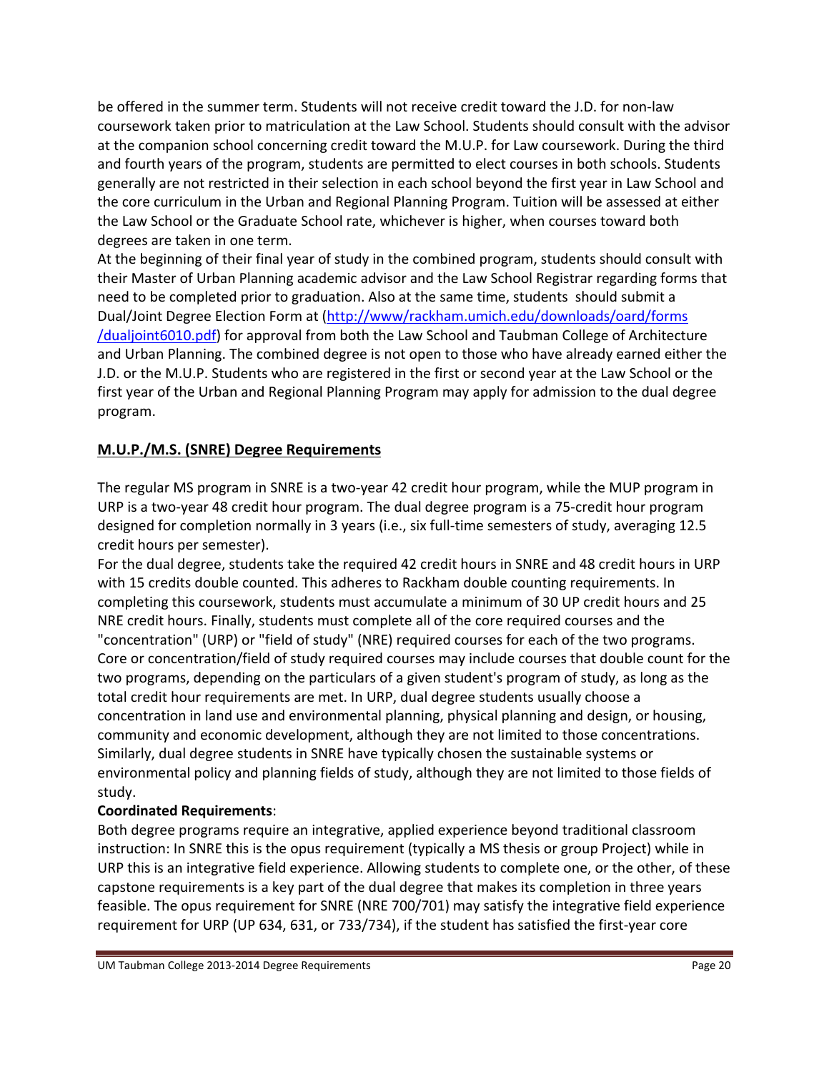be offered in the summer term. Students will not receive credit toward the J.D. for non-law coursework taken prior to matriculation at the Law School. Students should consult with the advisor at the companion school concerning credit toward the M.U.P. for Law coursework. During the third and fourth years of the program, students are permitted to elect courses in both schools. Students generally are not restricted in their selection in each school beyond the first year in Law School and the core curriculum in the Urban and Regional Planning Program. Tuition will be assessed at either the Law School or the Graduate School rate, whichever is higher, when courses toward both degrees are taken in one term.

At the beginning of their final year of study in the combined program, students should consult with their Master of Urban Planning academic advisor and the Law School Registrar regarding forms that need to be completed prior to graduation. Also at the same time, students should submit a Dual/Joint Degree Election Form at (http://www/rackham.umich.edu/downloads/oard/forms /dualjoint6010.pdf) for approval from both the Law School and Taubman College of Architecture and Urban Planning. The combined degree is not open to those who have already earned either the J.D. or the M.U.P. Students who are registered in the first or second year at the Law School or the first year of the Urban and Regional Planning Program may apply for admission to the dual degree program.

# **M.U.P./M.S. (SNRE) Degree Requirements**

The regular MS program in SNRE is a two-year 42 credit hour program, while the MUP program in URP is a two‐year 48 credit hour program. The dual degree program is a 75‐credit hour program designed for completion normally in 3 years (i.e., six full‐time semesters of study, averaging 12.5 credit hours per semester).

For the dual degree, students take the required 42 credit hours in SNRE and 48 credit hours in URP with 15 credits double counted. This adheres to Rackham double counting requirements. In completing this coursework, students must accumulate a minimum of 30 UP credit hours and 25 NRE credit hours. Finally, students must complete all of the core required courses and the "concentration" (URP) or "field of study" (NRE) required courses for each of the two programs. Core or concentration/field of study required courses may include courses that double count for the two programs, depending on the particulars of a given student's program of study, as long as the total credit hour requirements are met. In URP, dual degree students usually choose a concentration in land use and environmental planning, physical planning and design, or housing, community and economic development, although they are not limited to those concentrations. Similarly, dual degree students in SNRE have typically chosen the sustainable systems or environmental policy and planning fields of study, although they are not limited to those fields of study.

# **Coordinated Requirements**:

Both degree programs require an integrative, applied experience beyond traditional classroom instruction: In SNRE this is the opus requirement (typically a MS thesis or group Project) while in URP this is an integrative field experience. Allowing students to complete one, or the other, of these capstone requirements is a key part of the dual degree that makes its completion in three years feasible. The opus requirement for SNRE (NRE 700/701) may satisfy the integrative field experience requirement for URP (UP 634, 631, or 733/734), if the student has satisfied the first‐year core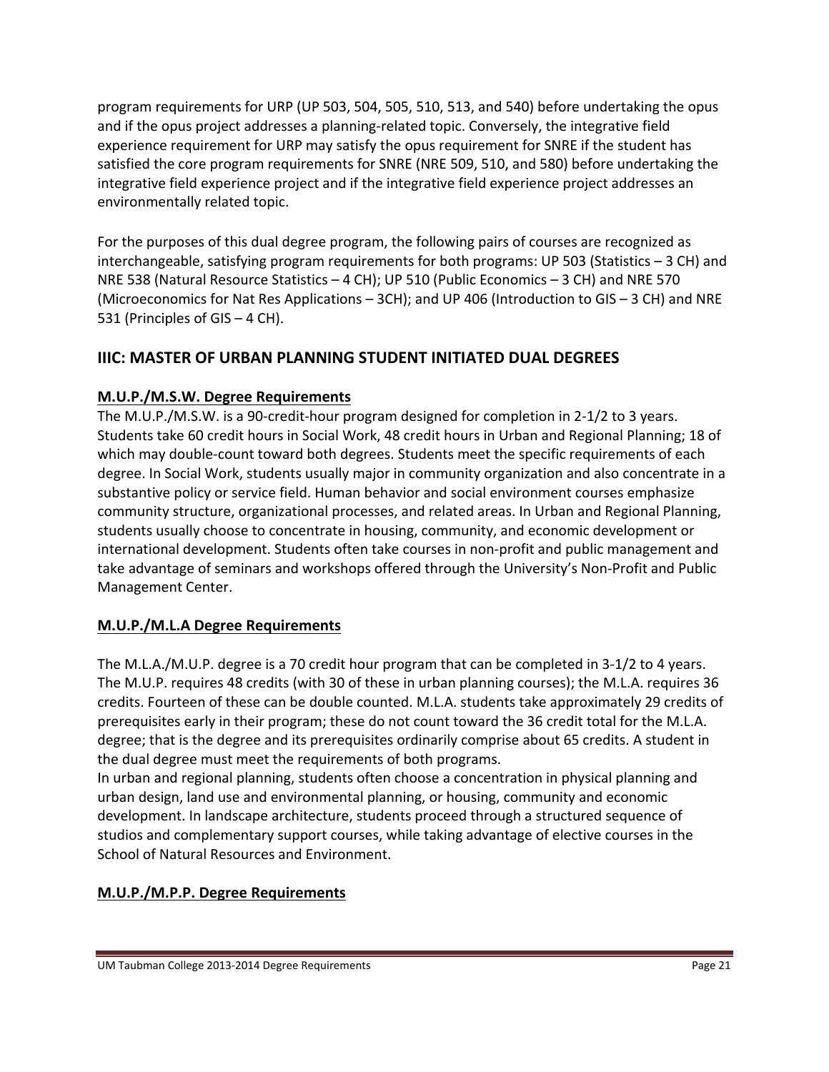program requirements for URP (UP 503, 504, 505, 510, 513, and 540) before undertaking the opus and if the opus project addresses a planning-related topic. Conversely, the integrative field experience requirement for URP may satisfy the opus requirement for SNRE if the student has satisfied the core program requirements for SNRE (NRE 509, 510, and 580) before undertaking the integrative field experience project and if the integrative field experience project addresses an environmentally related topic.

For the purposes of this dual degree program, the following pairs of courses are recognized as interchangeable, satisfying program requirements for both programs: UP 503 (Statistics – 3 CH) and NRE 538 (Natural Resource Statistics – 4 CH); UP 510 (Public Economics – 3 CH) and NRE 570 (Microeconomics for Nat Res Applications – 3CH); and UP 406 (Introduction to GIS – 3 CH) and NRE 531 (Principles of GIS – 4 CH).

# **IIIC: MASTER OF URBAN PLANNING STUDENT INITIATED DUAL DEGREES**

# **M.U.P./M.S.W. Degree Requirements**

The M.U.P./M.S.W. is a 90-credit-hour program designed for completion in 2-1/2 to 3 years. Students take 60 credit hours in Social Work, 48 credit hours in Urban and Regional Planning; 18 of which may double-count toward both degrees. Students meet the specific requirements of each degree. In Social Work, students usually major in community organization and also concentrate in a substantive policy or service field. Human behavior and social environment courses emphasize community structure, organizational processes, and related areas. In Urban and Regional Planning, students usually choose to concentrate in housing, community, and economic development or international development. Students often take courses in non‐profit and public management and take advantage of seminars and workshops offered through the University's Non‐Profit and Public Management Center.

# **M.U.P./M.L.A Degree Requirements**

The M.L.A./M.U.P. degree is a 70 credit hour program that can be completed in 3‐1/2 to 4 years. The M.U.P. requires 48 credits (with 30 of these in urban planning courses); the M.L.A. requires 36 credits. Fourteen of these can be double counted. M.L.A. students take approximately 29 credits of prerequisites early in their program; these do not count toward the 36 credit total for the M.L.A. degree; that is the degree and its prerequisites ordinarily comprise about 65 credits. A student in the dual degree must meet the requirements of both programs.

In urban and regional planning, students often choose a concentration in physical planning and urban design, land use and environmental planning, or housing, community and economic development. In landscape architecture, students proceed through a structured sequence of studios and complementary support courses, while taking advantage of elective courses in the School of Natural Resources and Environment.

# **M.U.P./M.P.P. Degree Requirements**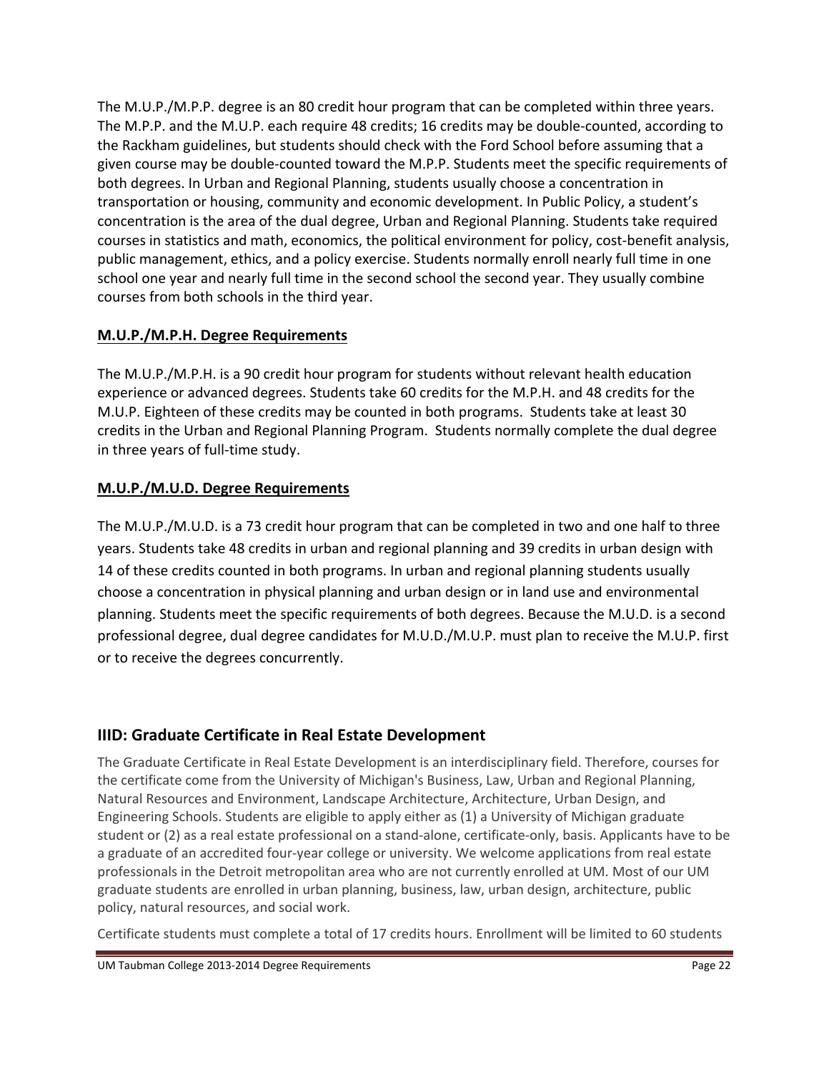The M.U.P./M.P.P. degree is an 80 credit hour program that can be completed within three years. The M.P.P. and the M.U.P. each require 48 credits; 16 credits may be double‐counted, according to the Rackham guidelines, but students should check with the Ford School before assuming that a given course may be double‐counted toward the M.P.P. Students meet the specific requirements of both degrees. In Urban and Regional Planning, students usually choose a concentration in transportation or housing, community and economic development. In Public Policy, a student's concentration is the area of the dual degree, Urban and Regional Planning. Students take required courses in statistics and math, economics, the political environment for policy, cost‐benefit analysis, public management, ethics, and a policy exercise. Students normally enroll nearly full time in one school one year and nearly full time in the second school the second year. They usually combine courses from both schools in the third year.

# **M.U.P./M.P.H. Degree Requirements**

The M.U.P./M.P.H. is a 90 credit hour program for students without relevant health education experience or advanced degrees. Students take 60 credits for the M.P.H. and 48 credits for the M.U.P. Eighteen of these credits may be counted in both programs. Students take at least 30 credits in the Urban and Regional Planning Program. Students normally complete the dual degree in three years of full‐time study.

# **M.U.P./M.U.D. Degree Requirements**

The M.U.P./M.U.D. is a 73 credit hour program that can be completed in two and one half to three years. Students take 48 credits in urban and regional planning and 39 credits in urban design with 14 of these credits counted in both programs. In urban and regional planning students usually choose a concentration in physical planning and urban design or in land use and environmental planning. Students meet the specific requirements of both degrees. Because the M.U.D. is a second professional degree, dual degree candidates for M.U.D./M.U.P. must plan to receive the M.U.P. first or to receive the degrees concurrently.

# **IIID: Graduate Certificate in Real Estate Development**

The Graduate Certificate in Real Estate Development is an interdisciplinary field. Therefore, courses for the certificate come from the University of Michigan's Business, Law, Urban and Regional Planning, Natural Resources and Environment, Landscape Architecture, Architecture, Urban Design, and Engineering Schools. Students are eligible to apply either as (1) a University of Michigan graduate student or (2) as a real estate professional on a stand‐alone, certificate‐only, basis. Applicants have to be a graduate of an accredited four‐year college or university. We welcome applications from real estate professionals in the Detroit metropolitan area who are not currently enrolled at UM. Most of our UM graduate students are enrolled in urban planning, business, law, urban design, architecture, public policy, natural resources, and social work.

Certificate students must complete a total of 17 credits hours. Enrollment will be limited to 60 students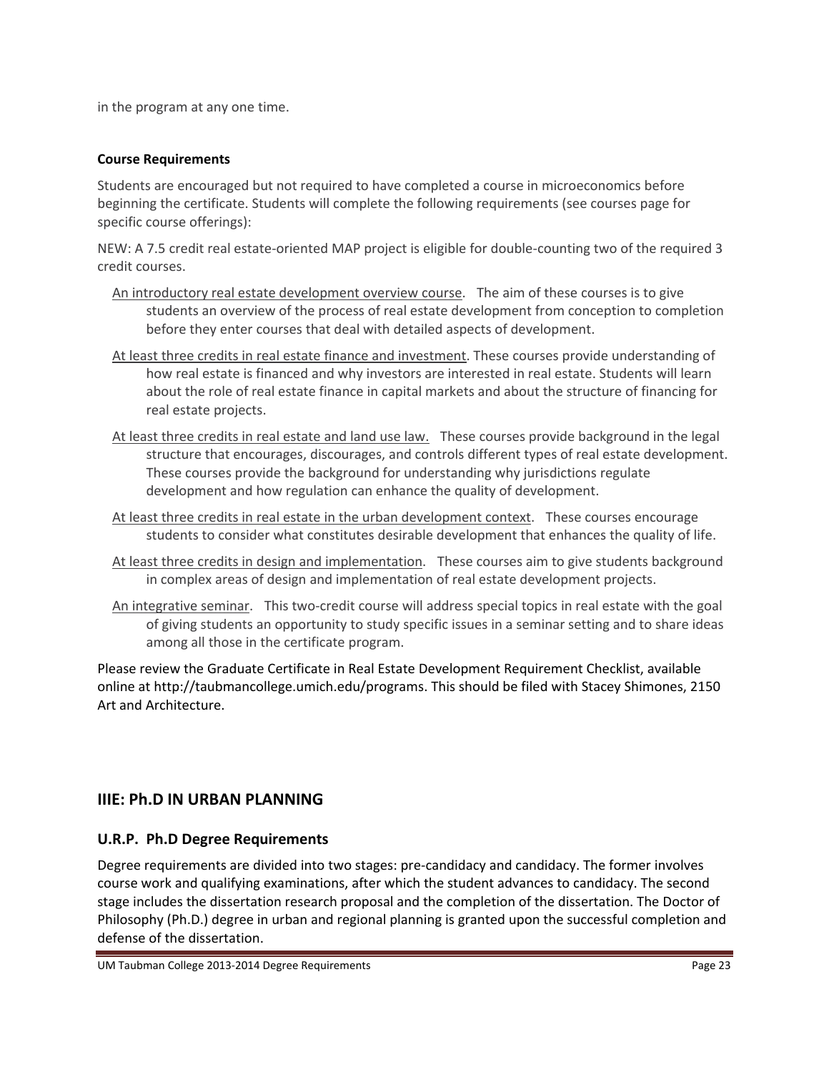in the program at any one time.

### **Course Requirements**

Students are encouraged but not required to have completed a course in microeconomics before beginning the certificate. Students will complete the following requirements (see courses page for specific course offerings):

NEW: A 7.5 credit real estate‐oriented MAP project is eligible for double‐counting two of the required 3 credit courses.

- An introductory real estate development overview course. The aim of these courses is to give students an overview of the process of real estate development from conception to completion before they enter courses that deal with detailed aspects of development.
- At least three credits in real estate finance and investment. These courses provide understanding of how real estate is financed and why investors are interested in real estate. Students will learn about the role of real estate finance in capital markets and about the structure of financing for real estate projects.
- At least three credits in real estate and land use law. These courses provide background in the legal structure that encourages, discourages, and controls different types of real estate development. These courses provide the background for understanding why jurisdictions regulate development and how regulation can enhance the quality of development.
- At least three credits in real estate in the urban development context. These courses encourage students to consider what constitutes desirable development that enhances the quality of life.
- At least three credits in design and implementation. These courses aim to give students background in complex areas of design and implementation of real estate development projects.
- An integrative seminar. This two‐credit course will address special topics in real estate with the goal of giving students an opportunity to study specific issues in a seminar setting and to share ideas among all those in the certificate program.

Please review the Graduate Certificate in Real Estate Development Requirement Checklist, available online at http://taubmancollege.umich.edu/programs. This should be filed with Stacey Shimones, 2150 Art and Architecture.

# **IIIE: Ph.D IN URBAN PLANNING**

# **U.R.P. Ph.D Degree Requirements**

Degree requirements are divided into two stages: pre‐candidacy and candidacy. The former involves course work and qualifying examinations, after which the student advances to candidacy. The second stage includes the dissertation research proposal and the completion of the dissertation. The Doctor of Philosophy (Ph.D.) degree in urban and regional planning is granted upon the successful completion and defense of the dissertation.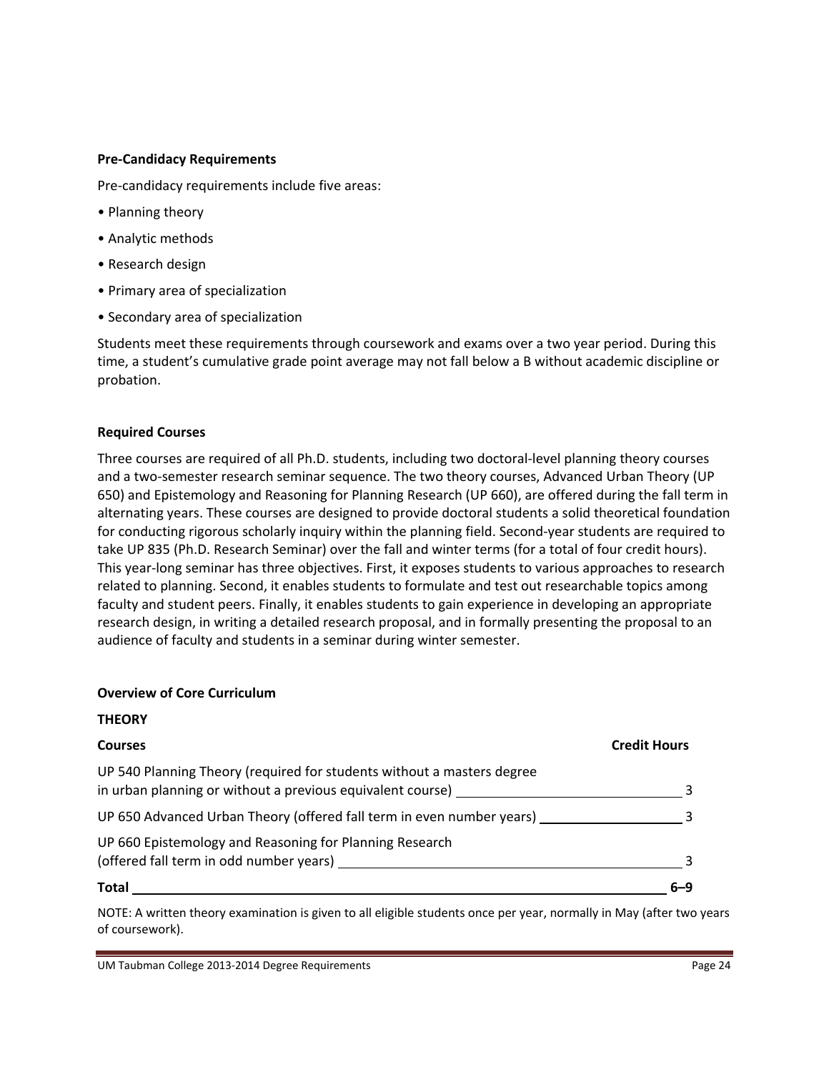#### **Pre‐Candidacy Requirements**

Pre-candidacy requirements include five areas:

- Planning theory
- Analytic methods
- Research design
- Primary area of specialization
- Secondary area of specialization

Students meet these requirements through coursework and exams over a two year period. During this time, a student's cumulative grade point average may not fall below a B without academic discipline or probation.

#### **Required Courses**

Three courses are required of all Ph.D. students, including two doctoral‐level planning theory courses and a two-semester research seminar sequence. The two theory courses, Advanced Urban Theory (UP 650) and Epistemology and Reasoning for Planning Research (UP 660), are offered during the fall term in alternating years. These courses are designed to provide doctoral students a solid theoretical foundation for conducting rigorous scholarly inquiry within the planning field. Second-year students are required to take UP 835 (Ph.D. Research Seminar) over the fall and winter terms (for a total of four credit hours). This year‐long seminar has three objectives. First, it exposes students to various approaches to research related to planning. Second, it enables students to formulate and test out researchable topics among faculty and student peers. Finally, it enables students to gain experience in developing an appropriate research design, in writing a detailed research proposal, and in formally presenting the proposal to an audience of faculty and students in a seminar during winter semester.

#### **Overview of Core Curriculum**

# **THEORY**

| <b>Courses</b>                                                                                                                       | <b>Credit Hours</b> |
|--------------------------------------------------------------------------------------------------------------------------------------|---------------------|
| UP 540 Planning Theory (required for students without a masters degree<br>in urban planning or without a previous equivalent course) |                     |
| UP 650 Advanced Urban Theory (offered fall term in even number years)                                                                |                     |
| UP 660 Epistemology and Reasoning for Planning Research<br>(offered fall term in odd number years)                                   |                     |
| Total                                                                                                                                | $6 - 9$             |

NOTE: A written theory examination is given to all eligible students once per year, normally in May (after two years of coursework).

UM Taubman College 2013-2014 Degree Requirements Page 24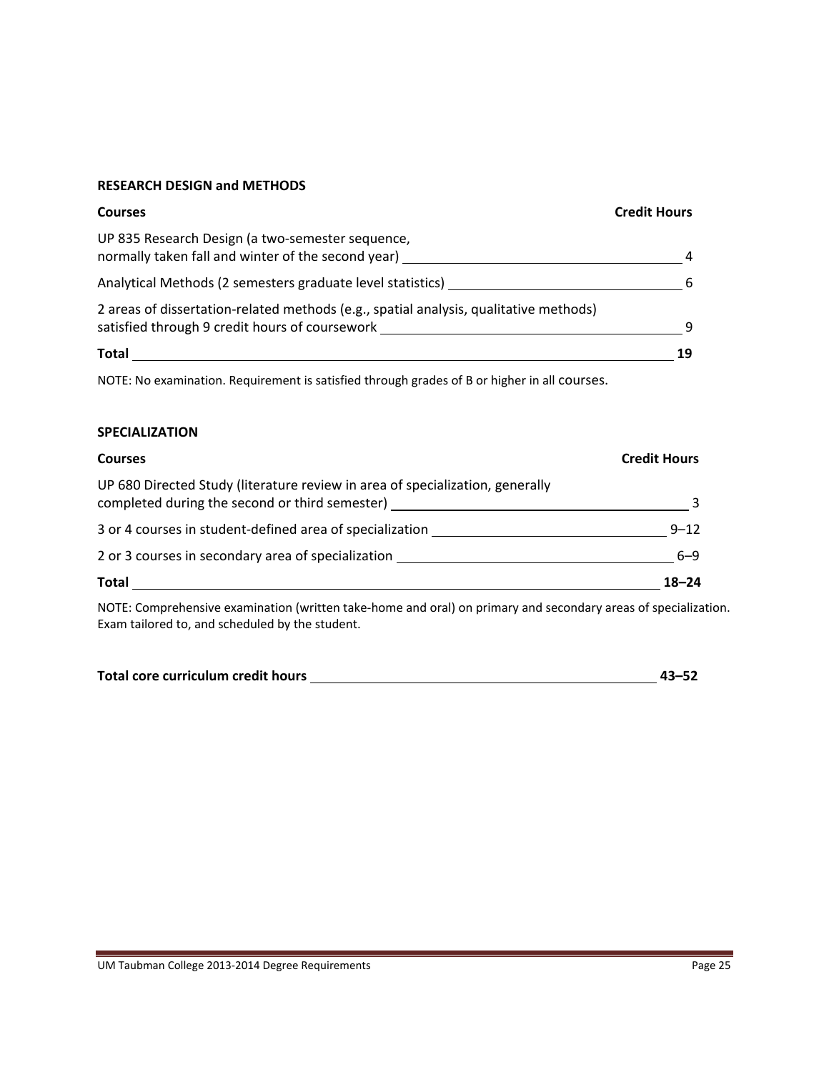#### **RESEARCH DESIGN and METHODS**

| <b>Courses</b>                                                                                                                          | <b>Credit Hours</b> |
|-----------------------------------------------------------------------------------------------------------------------------------------|---------------------|
| UP 835 Research Design (a two-semester sequence,<br>normally taken fall and winter of the second year)                                  | 4                   |
| Analytical Methods (2 semesters graduate level statistics) __                                                                           | 6                   |
| 2 areas of dissertation-related methods (e.g., spatial analysis, qualitative methods)<br>satisfied through 9 credit hours of coursework | q                   |
| <b>Total</b>                                                                                                                            | 19                  |

NOTE: No examination. Requirement is satisfied through grades of B or higher in all courses.

#### **SPECIALIZATION**

| <b>Courses</b>                                                                                                                  | <b>Credit Hours</b> |
|---------------------------------------------------------------------------------------------------------------------------------|---------------------|
| UP 680 Directed Study (literature review in area of specialization, generally<br>completed during the second or third semester) |                     |
| 3 or 4 courses in student-defined area of specialization                                                                        | $9 - 12$            |
| 2 or 3 courses in secondary area of specialization                                                                              | $6 - 9$             |
| Total                                                                                                                           | $18 - 24$           |

NOTE: Comprehensive examination (written take‐home and oral) on primary and secondary areas of specialization. Exam tailored to, and scheduled by the student.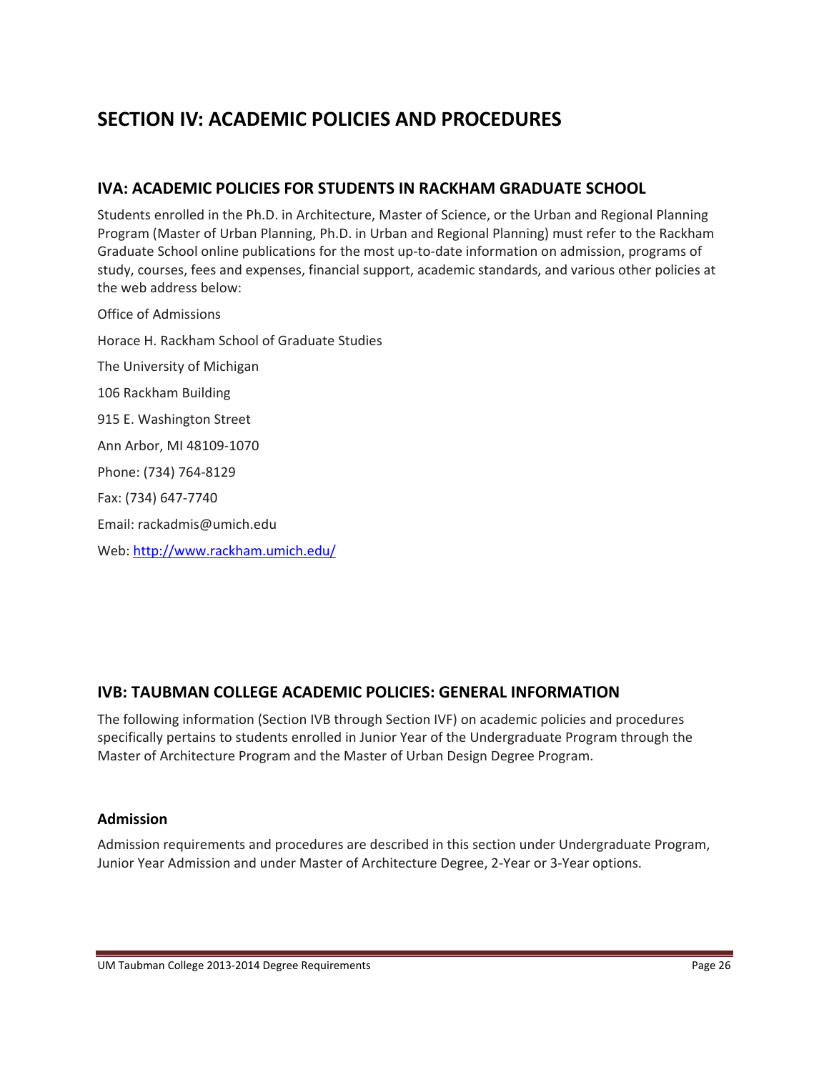# **SECTION IV: ACADEMIC POLICIES AND PROCEDURES**

# **IVA: ACADEMIC POLICIES FOR STUDENTS IN RACKHAM GRADUATE SCHOOL**

Students enrolled in the Ph.D. in Architecture, Master of Science, or the Urban and Regional Planning Program (Master of Urban Planning, Ph.D. in Urban and Regional Planning) must refer to the Rackham Graduate School online publications for the most up‐to‐date information on admission, programs of study, courses, fees and expenses, financial support, academic standards, and various other policies at the web address below:

Office of Admissions Horace H. Rackham School of Graduate Studies The University of Michigan 106 Rackham Building 915 E. Washington Street Ann Arbor, MI 48109‐1070 Phone: (734) 764‐8129 Fax: (734) 647‐7740 Email: rackadmis@umich.edu Web: http://www.rackham.umich.edu/

# **IVB: TAUBMAN COLLEGE ACADEMIC POLICIES: GENERAL INFORMATION**

The following information (Section IVB through Section IVF) on academic policies and procedures specifically pertains to students enrolled in Junior Year of the Undergraduate Program through the Master of Architecture Program and the Master of Urban Design Degree Program.

### **Admission**

Admission requirements and procedures are described in this section under Undergraduate Program, Junior Year Admission and under Master of Architecture Degree, 2‐Year or 3‐Year options.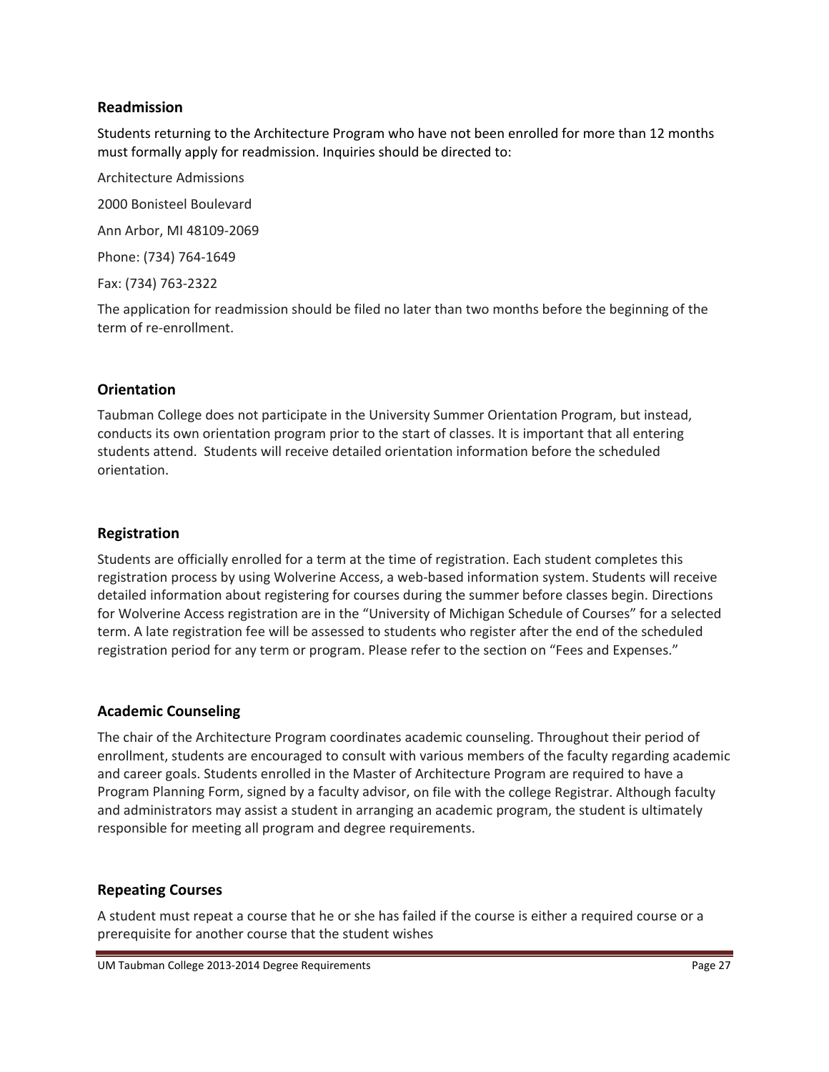#### **Readmission**

Students returning to the Architecture Program who have not been enrolled for more than 12 months must formally apply for readmission. Inquiries should be directed to:

Architecture Admissions 2000 Bonisteel Boulevard Ann Arbor, MI 48109‐2069 Phone: (734) 764‐1649

Fax: (734) 763‐2322

The application for readmission should be filed no later than two months before the beginning of the term of re‐enrollment.

### **Orientation**

Taubman College does not participate in the University Summer Orientation Program, but instead, conducts its own orientation program prior to the start of classes. It is important that all entering students attend. Students will receive detailed orientation information before the scheduled orientation.

#### **Registration**

Students are officially enrolled for a term at the time of registration. Each student completes this registration process by using Wolverine Access, a web-based information system. Students will receive detailed information about registering for courses during the summer before classes begin. Directions for Wolverine Access registration are in the "University of Michigan Schedule of Courses" for a selected term. A late registration fee will be assessed to students who register after the end of the scheduled registration period for any term or program. Please refer to the section on "Fees and Expenses."

### **Academic Counseling**

The chair of the Architecture Program coordinates academic counseling. Throughout their period of enrollment, students are encouraged to consult with various members of the faculty regarding academic and career goals. Students enrolled in the Master of Architecture Program are required to have a Program Planning Form, signed by a faculty advisor, on file with the college Registrar. Although faculty and administrators may assist a student in arranging an academic program, the student is ultimately responsible for meeting all program and degree requirements.

#### **Repeating Courses**

A student must repeat a course that he or she has failed if the course is either a required course or a prerequisite for another course that the student wishes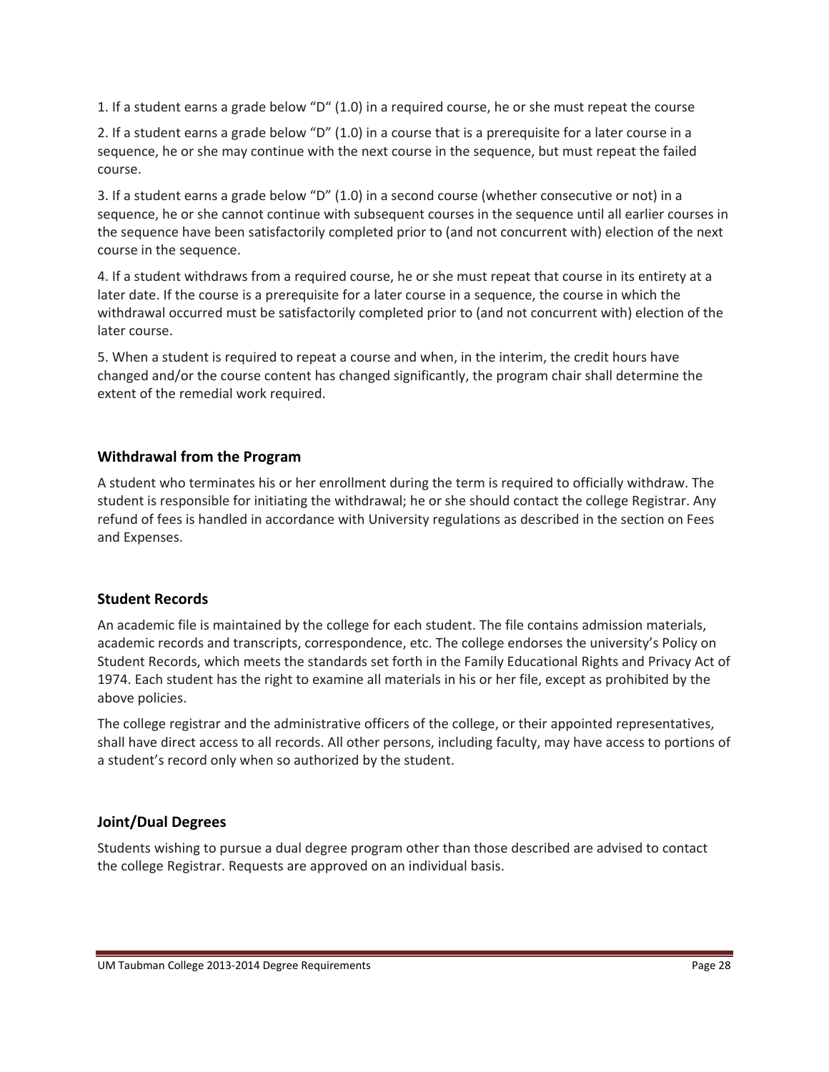1. If a student earns a grade below "D" (1.0) in a required course, he or she must repeat the course

2. If a student earns a grade below "D" (1.0) in a course that is a prerequisite for a later course in a sequence, he or she may continue with the next course in the sequence, but must repeat the failed course.

3. If a student earns a grade below "D" (1.0) in a second course (whether consecutive or not) in a sequence, he or she cannot continue with subsequent courses in the sequence until all earlier courses in the sequence have been satisfactorily completed prior to (and not concurrent with) election of the next course in the sequence.

4. If a student withdraws from a required course, he or she must repeat that course in its entirety at a later date. If the course is a prerequisite for a later course in a sequence, the course in which the withdrawal occurred must be satisfactorily completed prior to (and not concurrent with) election of the later course.

5. When a student is required to repeat a course and when, in the interim, the credit hours have changed and/or the course content has changed significantly, the program chair shall determine the extent of the remedial work required.

### **Withdrawal from the Program**

A student who terminates his or her enrollment during the term is required to officially withdraw. The student is responsible for initiating the withdrawal; he or she should contact the college Registrar. Any refund of fees is handled in accordance with University regulations as described in the section on Fees and Expenses.

#### **Student Records**

An academic file is maintained by the college for each student. The file contains admission materials, academic records and transcripts, correspondence, etc. The college endorses the university's Policy on Student Records, which meets the standards set forth in the Family Educational Rights and Privacy Act of 1974. Each student has the right to examine all materials in his or her file, except as prohibited by the above policies.

The college registrar and the administrative officers of the college, or their appointed representatives, shall have direct access to all records. All other persons, including faculty, may have access to portions of a student's record only when so authorized by the student.

### **Joint/Dual Degrees**

Students wishing to pursue a dual degree program other than those described are advised to contact the college Registrar. Requests are approved on an individual basis.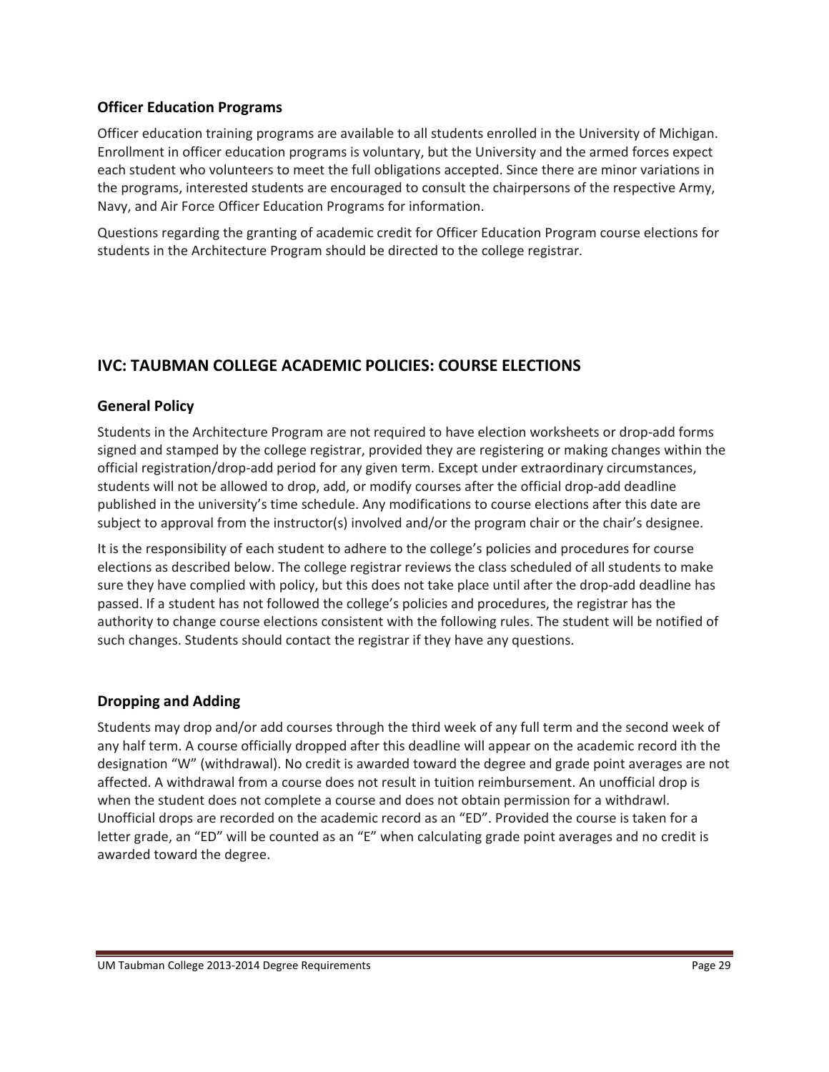#### **Officer Education Programs**

Officer education training programs are available to all students enrolled in the University of Michigan. Enrollment in officer education programs is voluntary, but the University and the armed forces expect each student who volunteers to meet the full obligations accepted. Since there are minor variations in the programs, interested students are encouraged to consult the chairpersons of the respective Army, Navy, and Air Force Officer Education Programs for information.

Questions regarding the granting of academic credit for Officer Education Program course elections for students in the Architecture Program should be directed to the college registrar.

# **IVC: TAUBMAN COLLEGE ACADEMIC POLICIES: COURSE ELECTIONS**

### **General Policy**

Students in the Architecture Program are not required to have election worksheets or drop-add forms signed and stamped by the college registrar, provided they are registering or making changes within the official registration/drop‐add period for any given term. Except under extraordinary circumstances, students will not be allowed to drop, add, or modify courses after the official drop-add deadline published in the university's time schedule. Any modifications to course elections after this date are subject to approval from the instructor(s) involved and/or the program chair or the chair's designee.

It is the responsibility of each student to adhere to the college's policies and procedures for course elections as described below. The college registrar reviews the class scheduled of all students to make sure they have complied with policy, but this does not take place until after the drop-add deadline has passed. If a student has not followed the college's policies and procedures, the registrar has the authority to change course elections consistent with the following rules. The student will be notified of such changes. Students should contact the registrar if they have any questions.

#### **Dropping and Adding**

Students may drop and/or add courses through the third week of any full term and the second week of any half term. A course officially dropped after this deadline will appear on the academic record ith the designation "W" (withdrawal). No credit is awarded toward the degree and grade point averages are not affected. A withdrawal from a course does not result in tuition reimbursement. An unofficial drop is when the student does not complete a course and does not obtain permission for a withdrawl. Unofficial drops are recorded on the academic record as an "ED". Provided the course is taken for a letter grade, an "ED" will be counted as an "E" when calculating grade point averages and no credit is awarded toward the degree.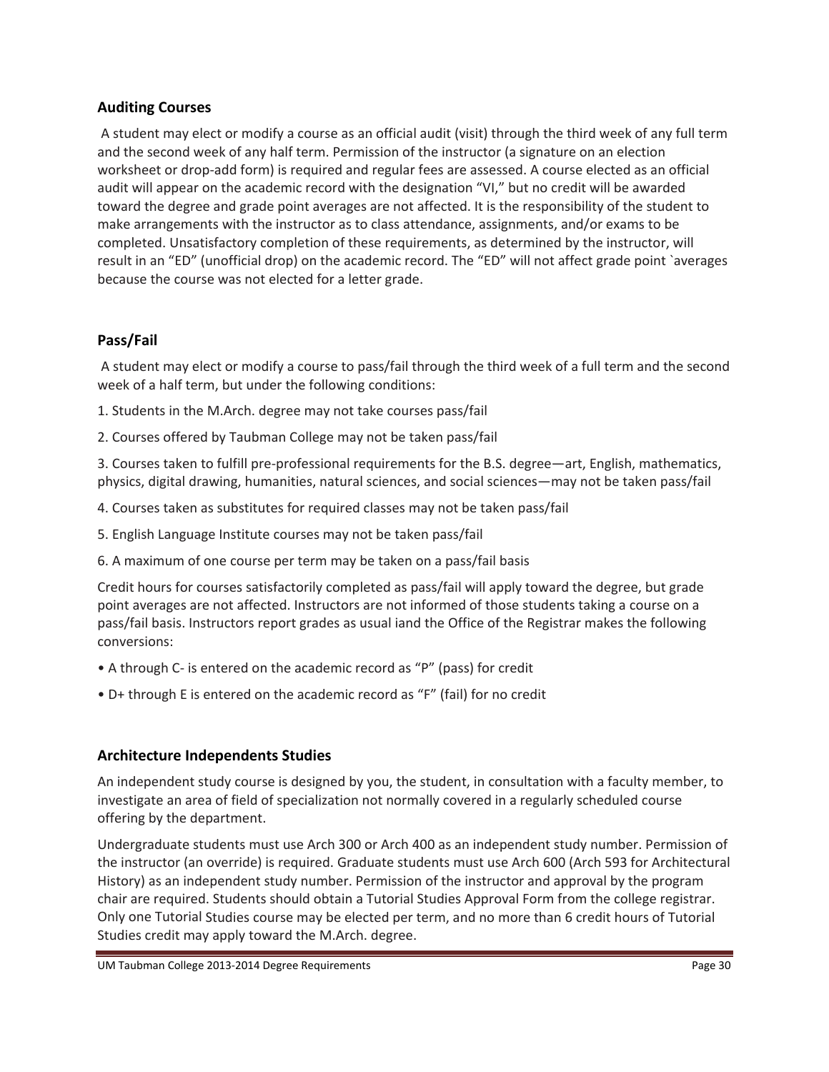### **Auditing Courses**

A student may elect or modify a course as an official audit (visit) through the third week of any full term and the second week of any half term. Permission of the instructor (a signature on an election worksheet or drop-add form) is required and regular fees are assessed. A course elected as an official audit will appear on the academic record with the designation "VI," but no credit will be awarded toward the degree and grade point averages are not affected. It is the responsibility of the student to make arrangements with the instructor as to class attendance, assignments, and/or exams to be completed. Unsatisfactory completion of these requirements, as determined by the instructor, will result in an "ED" (unofficial drop) on the academic record. The "ED" will not affect grade point `averages because the course was not elected for a letter grade.

#### **Pass/Fail**

A student may elect or modify a course to pass/fail through the third week of a full term and the second week of a half term, but under the following conditions:

- 1. Students in the M.Arch. degree may not take courses pass/fail
- 2. Courses offered by Taubman College may not be taken pass/fail

3. Courses taken to fulfill pre‐professional requirements for the B.S. degree—art, English, mathematics, physics, digital drawing, humanities, natural sciences, and social sciences—may not be taken pass/fail

- 4. Courses taken as substitutes for required classes may not be taken pass/fail
- 5. English Language Institute courses may not be taken pass/fail
- 6. A maximum of one course per term may be taken on a pass/fail basis

Credit hours for courses satisfactorily completed as pass/fail will apply toward the degree, but grade point averages are not affected. Instructors are not informed of those students taking a course on a pass/fail basis. Instructors report grades as usual iand the Office of the Registrar makes the following conversions:

- A through C‐ is entered on the academic record as "P" (pass) for credit
- D+ through E is entered on the academic record as "F" (fail) for no credit

#### **Architecture Independents Studies**

An independent study course is designed by you, the student, in consultation with a faculty member, to investigate an area of field of specialization not normally covered in a regularly scheduled course offering by the department.

Undergraduate students must use Arch 300 or Arch 400 as an independent study number. Permission of the instructor (an override) is required. Graduate students must use Arch 600 (Arch 593 for Architectural History) as an independent study number. Permission of the instructor and approval by the program chair are required. Students should obtain a Tutorial Studies Approval Form from the college registrar. Only one Tutorial Studies course may be elected per term, and no more than 6 credit hours of Tutorial Studies credit may apply toward the M.Arch. degree.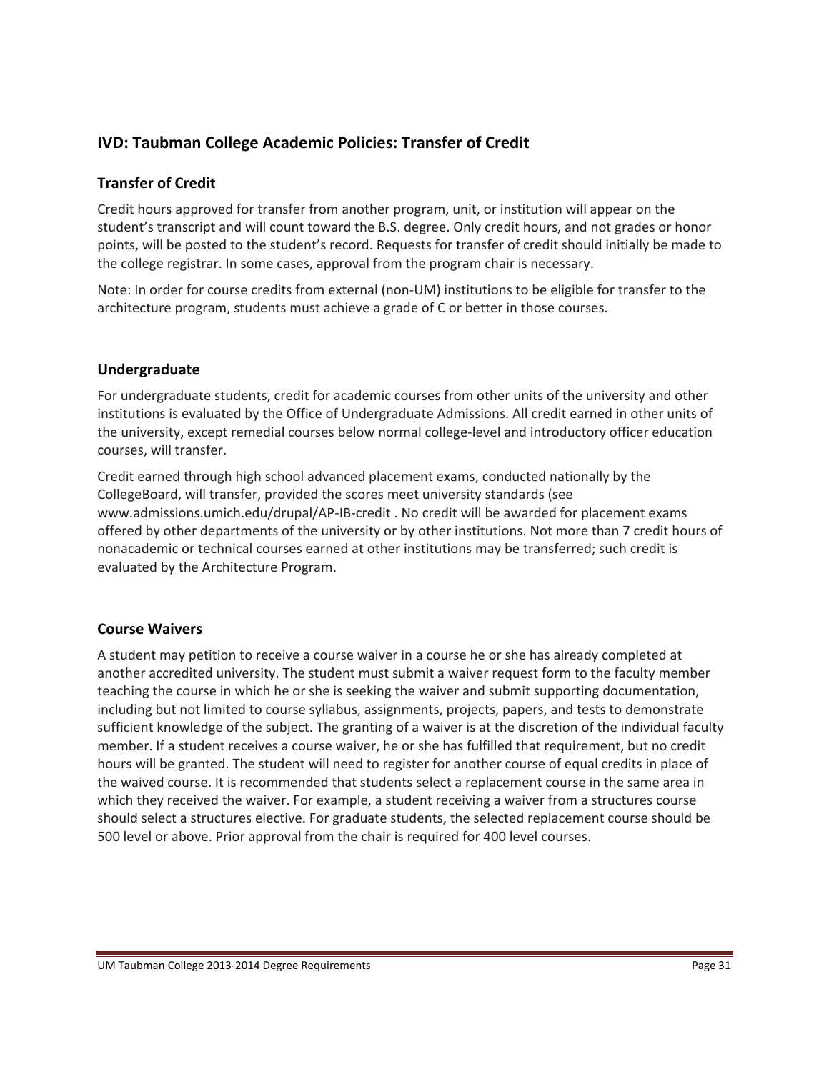# **IVD: Taubman College Academic Policies: Transfer of Credit**

### **Transfer of Credit**

Credit hours approved for transfer from another program, unit, or institution will appear on the student's transcript and will count toward the B.S. degree. Only credit hours, and not grades or honor points, will be posted to the student's record. Requests for transfer of credit should initially be made to the college registrar. In some cases, approval from the program chair is necessary.

Note: In order for course credits from external (non‐UM) institutions to be eligible for transfer to the architecture program, students must achieve a grade of C or better in those courses.

### **Undergraduate**

For undergraduate students, credit for academic courses from other units of the university and other institutions is evaluated by the Office of Undergraduate Admissions. All credit earned in other units of the university, except remedial courses below normal college‐level and introductory officer education courses, will transfer.

Credit earned through high school advanced placement exams, conducted nationally by the CollegeBoard, will transfer, provided the scores meet university standards (see www.admissions.umich.edu/drupal/AP‐IB‐credit . No credit will be awarded for placement exams offered by other departments of the university or by other institutions. Not more than 7 credit hours of nonacademic or technical courses earned at other institutions may be transferred; such credit is evaluated by the Architecture Program.

### **Course Waivers**

A student may petition to receive a course waiver in a course he or she has already completed at another accredited university. The student must submit a waiver request form to the faculty member teaching the course in which he or she is seeking the waiver and submit supporting documentation, including but not limited to course syllabus, assignments, projects, papers, and tests to demonstrate sufficient knowledge of the subject. The granting of a waiver is at the discretion of the individual faculty member. If a student receives a course waiver, he or she has fulfilled that requirement, but no credit hours will be granted. The student will need to register for another course of equal credits in place of the waived course. It is recommended that students select a replacement course in the same area in which they received the waiver. For example, a student receiving a waiver from a structures course should select a structures elective. For graduate students, the selected replacement course should be 500 level or above. Prior approval from the chair is required for 400 level courses.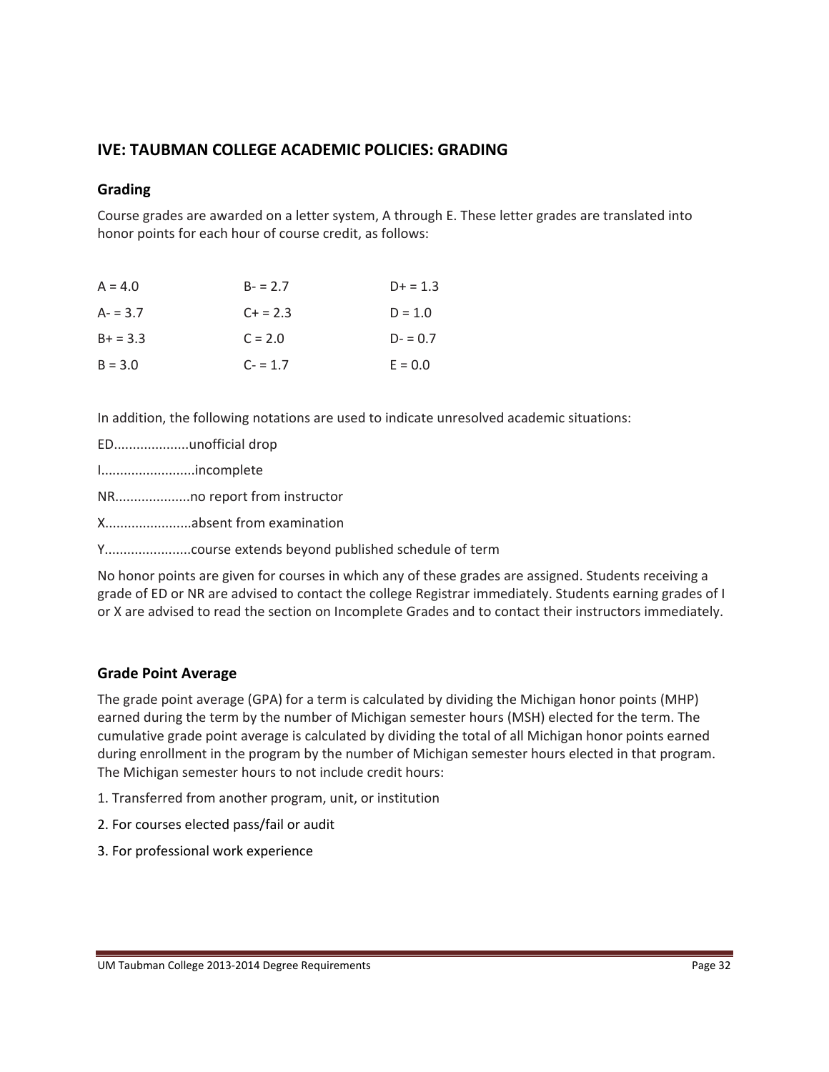# **IVE: TAUBMAN COLLEGE ACADEMIC POLICIES: GRADING**

#### **Grading**

Course grades are awarded on a letter system, A through E. These letter grades are translated into honor points for each hour of course credit, as follows:

| $A = 4.0$  | $B - 2.7$ | $D+ = 1.3$ |
|------------|-----------|------------|
| $A - 3.7$  | $C + 2.3$ | $D = 1.0$  |
| $B+ = 3.3$ | $C = 2.0$ | $D = 0.7$  |
| $B = 3.0$  | $C - 1.7$ | $E = 0.0$  |

In addition, the following notations are used to indicate unresolved academic situations:

| EDunofficial drop |  |
|-------------------|--|
|                   |  |

I.........................incomplete

NR....................no report from instructor

X.......................absent from examination

#### Y.......................course extends beyond published schedule of term

No honor points are given for courses in which any of these grades are assigned. Students receiving a grade of ED or NR are advised to contact the college Registrar immediately. Students earning grades of I or X are advised to read the section on Incomplete Grades and to contact their instructors immediately.

### **Grade Point Average**

The grade point average (GPA) for a term is calculated by dividing the Michigan honor points (MHP) earned during the term by the number of Michigan semester hours (MSH) elected for the term. The cumulative grade point average is calculated by dividing the total of all Michigan honor points earned during enrollment in the program by the number of Michigan semester hours elected in that program. The Michigan semester hours to not include credit hours:

- 1. Transferred from another program, unit, or institution
- 2. For courses elected pass/fail or audit
- 3. For professional work experience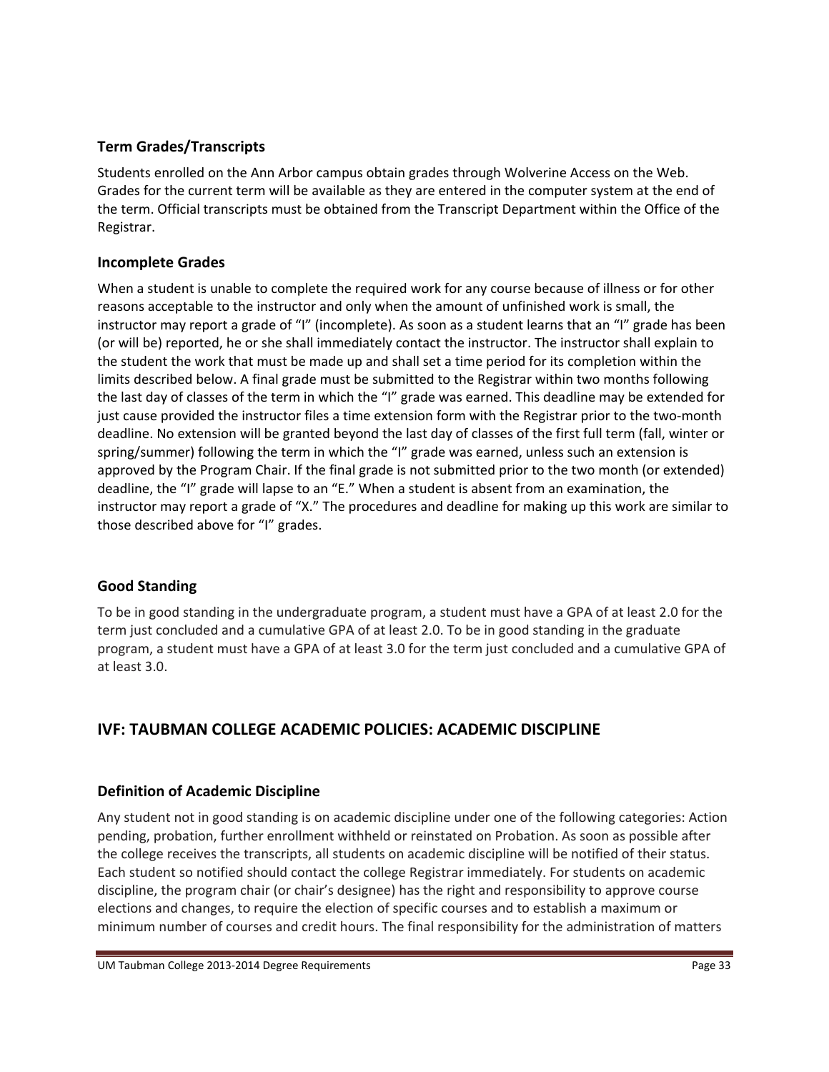#### **Term Grades/Transcripts**

Students enrolled on the Ann Arbor campus obtain grades through Wolverine Access on the Web. Grades for the current term will be available as they are entered in the computer system at the end of the term. Official transcripts must be obtained from the Transcript Department within the Office of the Registrar.

#### **Incomplete Grades**

When a student is unable to complete the required work for any course because of illness or for other reasons acceptable to the instructor and only when the amount of unfinished work is small, the instructor may report a grade of "I" (incomplete). As soon as a student learns that an "I" grade has been (or will be) reported, he or she shall immediately contact the instructor. The instructor shall explain to the student the work that must be made up and shall set a time period for its completion within the limits described below. A final grade must be submitted to the Registrar within two months following the last day of classes of the term in which the "I" grade was earned. This deadline may be extended for just cause provided the instructor files a time extension form with the Registrar prior to the two-month deadline. No extension will be granted beyond the last day of classes of the first full term (fall, winter or spring/summer) following the term in which the "I" grade was earned, unless such an extension is approved by the Program Chair. If the final grade is not submitted prior to the two month (or extended) deadline, the "I" grade will lapse to an "E." When a student is absent from an examination, the instructor may report a grade of "X." The procedures and deadline for making up this work are similar to those described above for "I" grades.

### **Good Standing**

To be in good standing in the undergraduate program, a student must have a GPA of at least 2.0 for the term just concluded and a cumulative GPA of at least 2.0. To be in good standing in the graduate program, a student must have a GPA of at least 3.0 for the term just concluded and a cumulative GPA of at least 3.0.

# **IVF: TAUBMAN COLLEGE ACADEMIC POLICIES: ACADEMIC DISCIPLINE**

### **Definition of Academic Discipline**

Any student not in good standing is on academic discipline under one of the following categories: Action pending, probation, further enrollment withheld or reinstated on Probation. As soon as possible after the college receives the transcripts, all students on academic discipline will be notified of their status. Each student so notified should contact the college Registrar immediately. For students on academic discipline, the program chair (or chair's designee) has the right and responsibility to approve course elections and changes, to require the election of specific courses and to establish a maximum or minimum number of courses and credit hours. The final responsibility for the administration of matters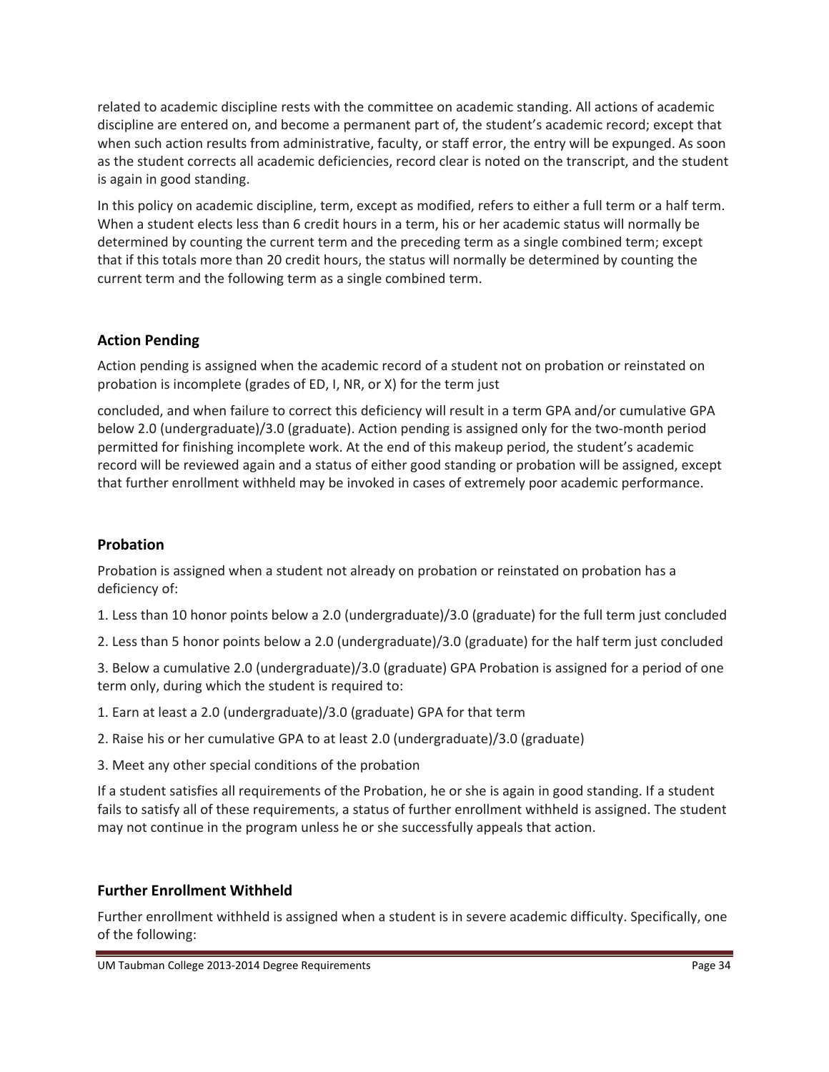related to academic discipline rests with the committee on academic standing. All actions of academic discipline are entered on, and become a permanent part of, the student's academic record; except that when such action results from administrative, faculty, or staff error, the entry will be expunged. As soon as the student corrects all academic deficiencies, record clear is noted on the transcript, and the student is again in good standing.

In this policy on academic discipline, term, except as modified, refers to either a full term or a half term. When a student elects less than 6 credit hours in a term, his or her academic status will normally be determined by counting the current term and the preceding term as a single combined term; except that if this totals more than 20 credit hours, the status will normally be determined by counting the current term and the following term as a single combined term.

# **Action Pending**

Action pending is assigned when the academic record of a student not on probation or reinstated on probation is incomplete (grades of ED, I, NR, or X) for the term just

concluded, and when failure to correct this deficiency will result in a term GPA and/or cumulative GPA below 2.0 (undergraduate)/3.0 (graduate). Action pending is assigned only for the two-month period permitted for finishing incomplete work. At the end of this makeup period, the student's academic record will be reviewed again and a status of either good standing or probation will be assigned, except that further enrollment withheld may be invoked in cases of extremely poor academic performance.

# **Probation**

Probation is assigned when a student not already on probation or reinstated on probation has a deficiency of:

1. Less than 10 honor points below a 2.0 (undergraduate)/3.0 (graduate) for the full term just concluded

2. Less than 5 honor points below a 2.0 (undergraduate)/3.0 (graduate) for the half term just concluded

3. Below a cumulative 2.0 (undergraduate)/3.0 (graduate) GPA Probation is assigned for a period of one term only, during which the student is required to:

- 1. Earn at least a 2.0 (undergraduate)/3.0 (graduate) GPA for that term
- 2. Raise his or her cumulative GPA to at least 2.0 (undergraduate)/3.0 (graduate)

3. Meet any other special conditions of the probation

If a student satisfies all requirements of the Probation, he or she is again in good standing. If a student fails to satisfy all of these requirements, a status of further enrollment withheld is assigned. The student may not continue in the program unless he or she successfully appeals that action.

### **Further Enrollment Withheld**

Further enrollment withheld is assigned when a student is in severe academic difficulty. Specifically, one of the following: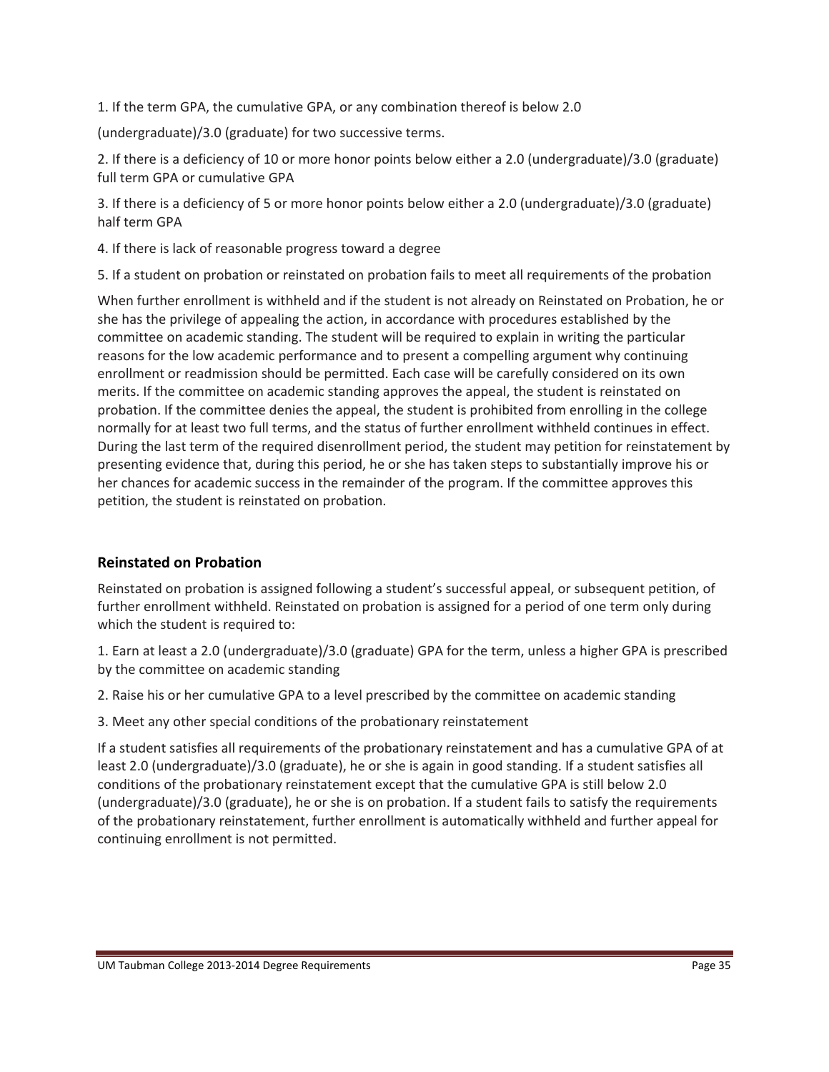1. If the term GPA, the cumulative GPA, or any combination thereof is below 2.0

(undergraduate)/3.0 (graduate) for two successive terms.

2. If there is a deficiency of 10 or more honor points below either a 2.0 (undergraduate)/3.0 (graduate) full term GPA or cumulative GPA

3. If there is a deficiency of 5 or more honor points below either a 2.0 (undergraduate)/3.0 (graduate) half term GPA

4. If there is lack of reasonable progress toward a degree

5. If a student on probation or reinstated on probation fails to meet all requirements of the probation

When further enrollment is withheld and if the student is not already on Reinstated on Probation, he or she has the privilege of appealing the action, in accordance with procedures established by the committee on academic standing. The student will be required to explain in writing the particular reasons for the low academic performance and to present a compelling argument why continuing enrollment or readmission should be permitted. Each case will be carefully considered on its own merits. If the committee on academic standing approves the appeal, the student is reinstated on probation. If the committee denies the appeal, the student is prohibited from enrolling in the college normally for at least two full terms, and the status of further enrollment withheld continues in effect. During the last term of the required disenrollment period, the student may petition for reinstatement by presenting evidence that, during this period, he or she has taken steps to substantially improve his or her chances for academic success in the remainder of the program. If the committee approves this petition, the student is reinstated on probation.

# **Reinstated on Probation**

Reinstated on probation is assigned following a student's successful appeal, or subsequent petition, of further enrollment withheld. Reinstated on probation is assigned for a period of one term only during which the student is required to:

1. Earn at least a 2.0 (undergraduate)/3.0 (graduate) GPA for the term, unless a higher GPA is prescribed by the committee on academic standing

2. Raise his or her cumulative GPA to a level prescribed by the committee on academic standing

3. Meet any other special conditions of the probationary reinstatement

If a student satisfies all requirements of the probationary reinstatement and has a cumulative GPA of at least 2.0 (undergraduate)/3.0 (graduate), he or she is again in good standing. If a student satisfies all conditions of the probationary reinstatement except that the cumulative GPA is still below 2.0 (undergraduate)/3.0 (graduate), he or she is on probation. If a student fails to satisfy the requirements of the probationary reinstatement, further enrollment is automatically withheld and further appeal for continuing enrollment is not permitted.